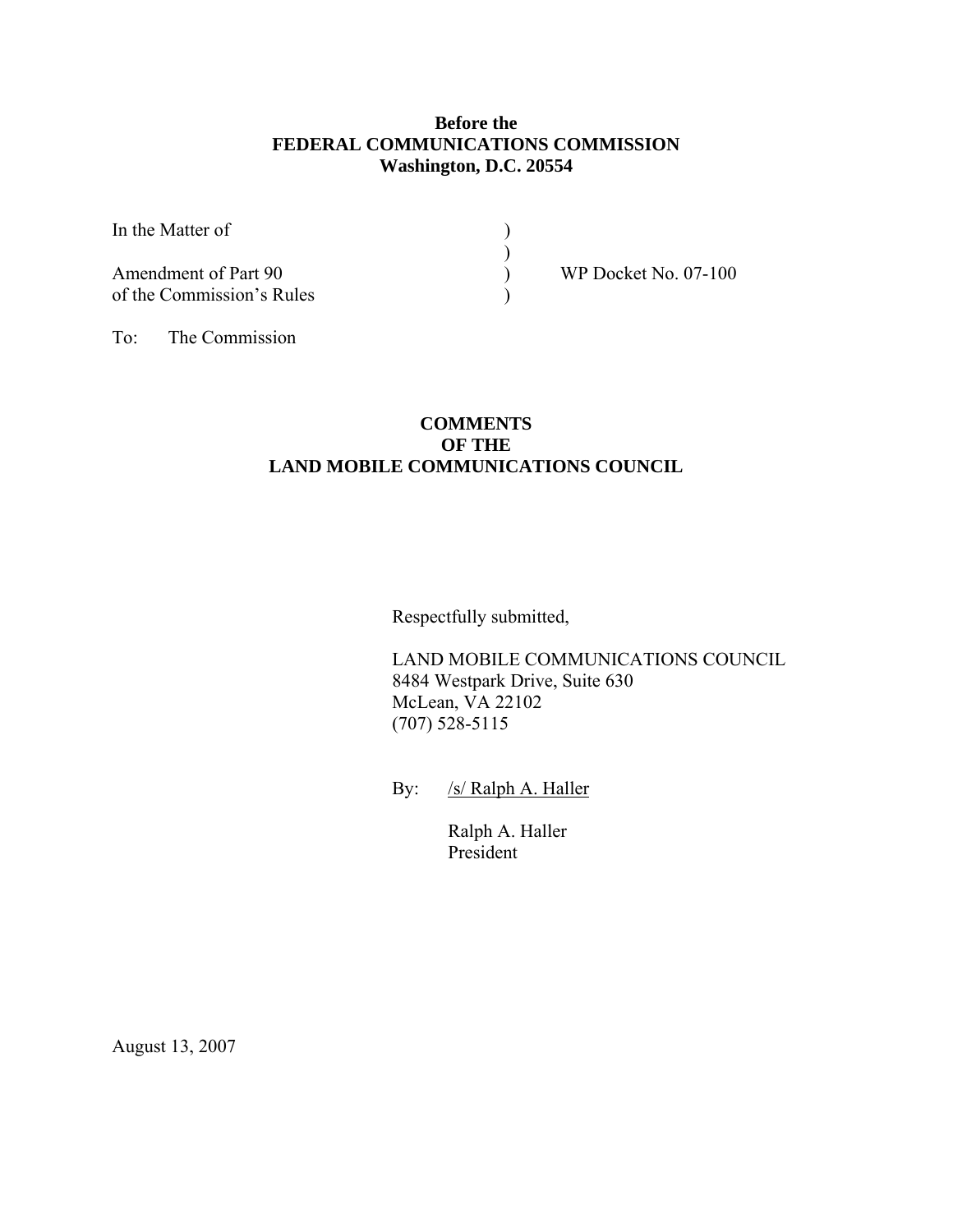## **Before the FEDERAL COMMUNICATIONS COMMISSION Washington, D.C. 20554**

| In the Matter of          |  |
|---------------------------|--|
|                           |  |
| Amendment of Part 90      |  |
| of the Commission's Rules |  |

)<br>)<br>WP Docket No. 07-100

To: The Commission

## **COMMENTS OF THE LAND MOBILE COMMUNICATIONS COUNCIL**

Respectfully submitted,

 LAND MOBILE COMMUNICATIONS COUNCIL 8484 Westpark Drive, Suite 630 McLean, VA 22102 (707) 528-5115

By: /s/ Ralph A. Haller

 Ralph A. Haller President

August 13, 2007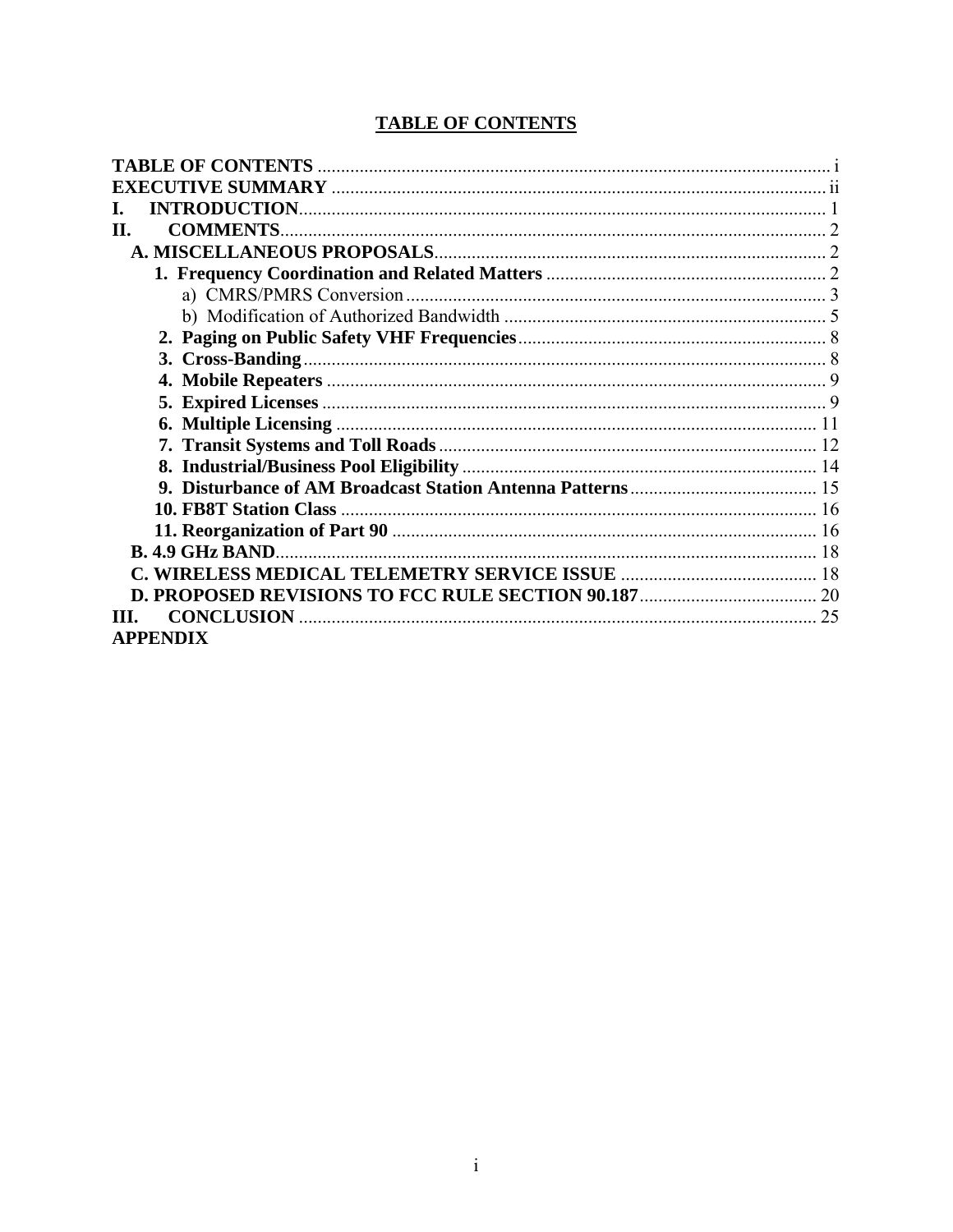# **TABLE OF CONTENTS**

<span id="page-1-0"></span>

| <b>TABLE OF CONTENTS</b>  |    |
|---------------------------|----|
|                           |    |
|                           |    |
| <b>COMMENTS.</b><br>Н.    |    |
|                           |    |
|                           |    |
|                           |    |
|                           |    |
|                           |    |
|                           |    |
|                           |    |
|                           |    |
|                           |    |
|                           |    |
|                           |    |
|                           |    |
|                           |    |
|                           |    |
|                           |    |
|                           |    |
|                           |    |
| <b>CONCLUSION</b><br>TIT. | 25 |
| <b>APPENDIX</b>           |    |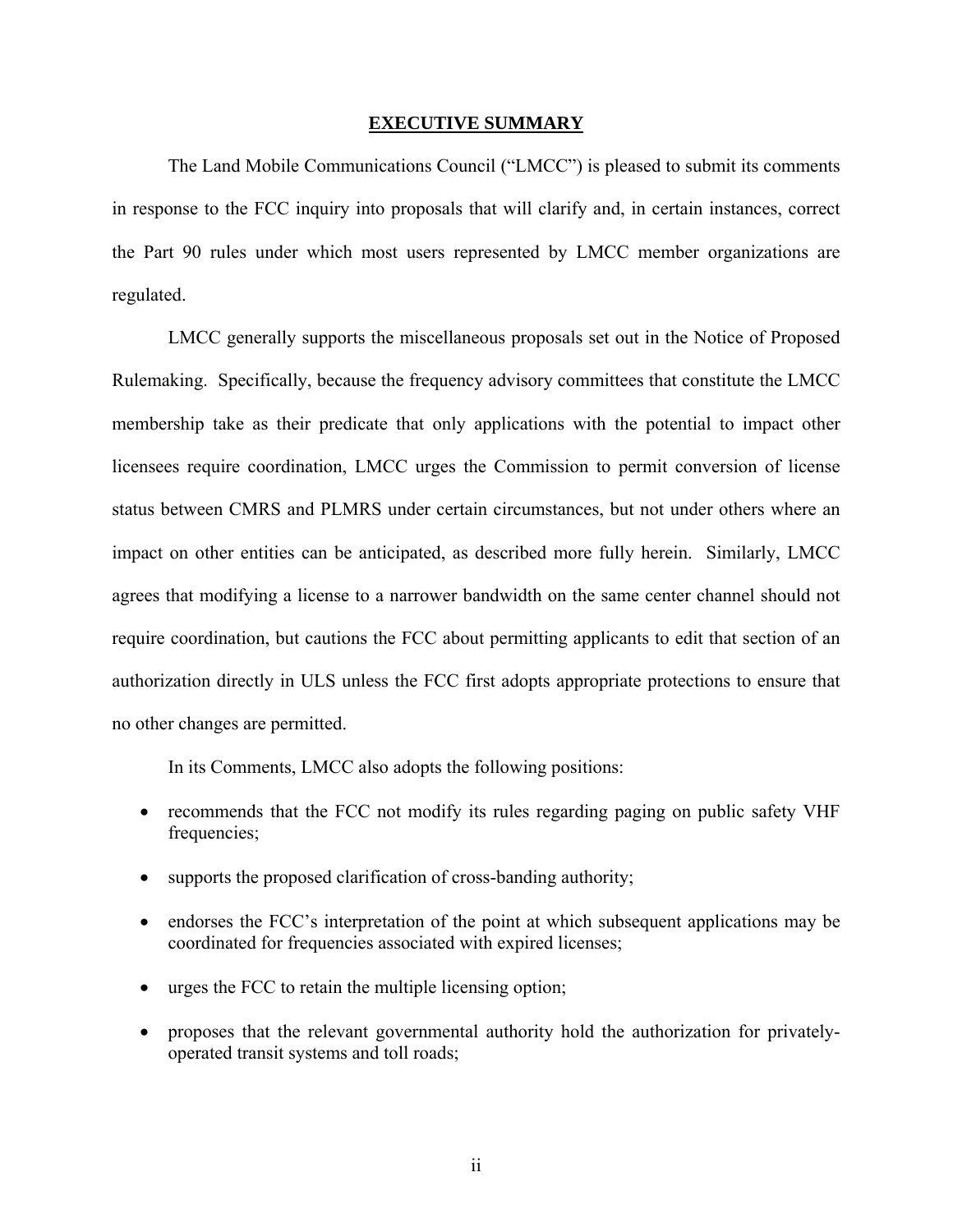#### **EXECUTIVE SUMMARY**

<span id="page-2-0"></span>The Land Mobile Communications Council ("LMCC") is pleased to submit its comments in response to the FCC inquiry into proposals that will clarify and, in certain instances, correct the Part 90 rules under which most users represented by LMCC member organizations are regulated.

LMCC generally supports the miscellaneous proposals set out in the Notice of Proposed Rulemaking. Specifically, because the frequency advisory committees that constitute the LMCC membership take as their predicate that only applications with the potential to impact other licensees require coordination, LMCC urges the Commission to permit conversion of license status between CMRS and PLMRS under certain circumstances, but not under others where an impact on other entities can be anticipated, as described more fully herein. Similarly, LMCC agrees that modifying a license to a narrower bandwidth on the same center channel should not require coordination, but cautions the FCC about permitting applicants to edit that section of an authorization directly in ULS unless the FCC first adopts appropriate protections to ensure that no other changes are permitted.

In its Comments, LMCC also adopts the following positions:

- recommends that the FCC not modify its rules regarding paging on public safety VHF frequencies:
- supports the proposed clarification of cross-banding authority;
- endorses the FCC's interpretation of the point at which subsequent applications may be coordinated for frequencies associated with expired licenses;
- urges the FCC to retain the multiple licensing option;
- proposes that the relevant governmental authority hold the authorization for privatelyoperated transit systems and toll roads;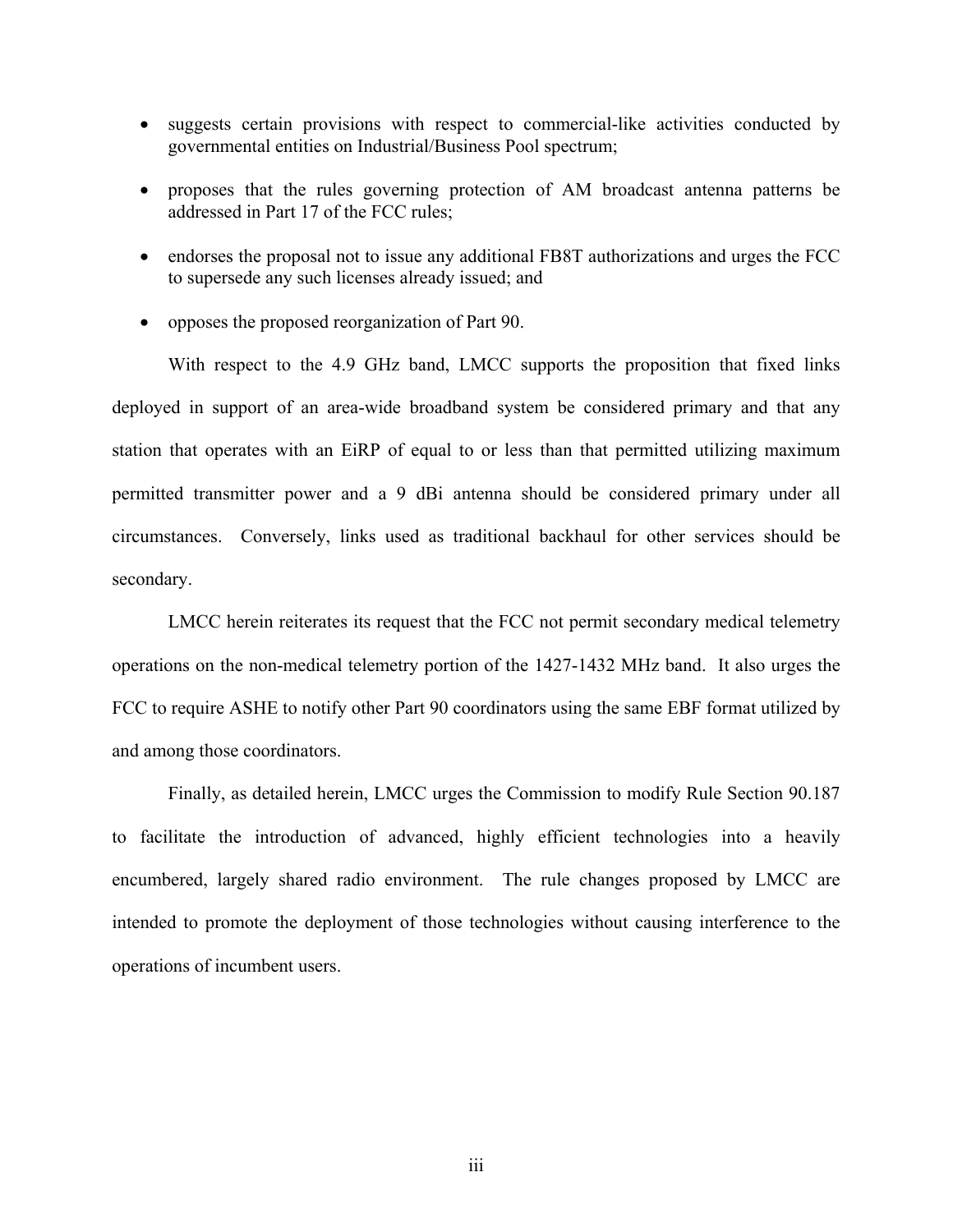- suggests certain provisions with respect to commercial-like activities conducted by governmental entities on Industrial/Business Pool spectrum;
- proposes that the rules governing protection of AM broadcast antenna patterns be addressed in Part 17 of the FCC rules;
- endorses the proposal not to issue any additional FB8T authorizations and urges the FCC to supersede any such licenses already issued; and
- opposes the proposed reorganization of Part 90.

With respect to the 4.9 GHz band, LMCC supports the proposition that fixed links deployed in support of an area-wide broadband system be considered primary and that any station that operates with an EiRP of equal to or less than that permitted utilizing maximum permitted transmitter power and a 9 dBi antenna should be considered primary under all circumstances. Conversely, links used as traditional backhaul for other services should be secondary.

LMCC herein reiterates its request that the FCC not permit secondary medical telemetry operations on the non-medical telemetry portion of the 1427-1432 MHz band. It also urges the FCC to require ASHE to notify other Part 90 coordinators using the same EBF format utilized by and among those coordinators.

Finally, as detailed herein, LMCC urges the Commission to modify Rule Section 90.187 to facilitate the introduction of advanced, highly efficient technologies into a heavily encumbered, largely shared radio environment. The rule changes proposed by LMCC are intended to promote the deployment of those technologies without causing interference to the operations of incumbent users.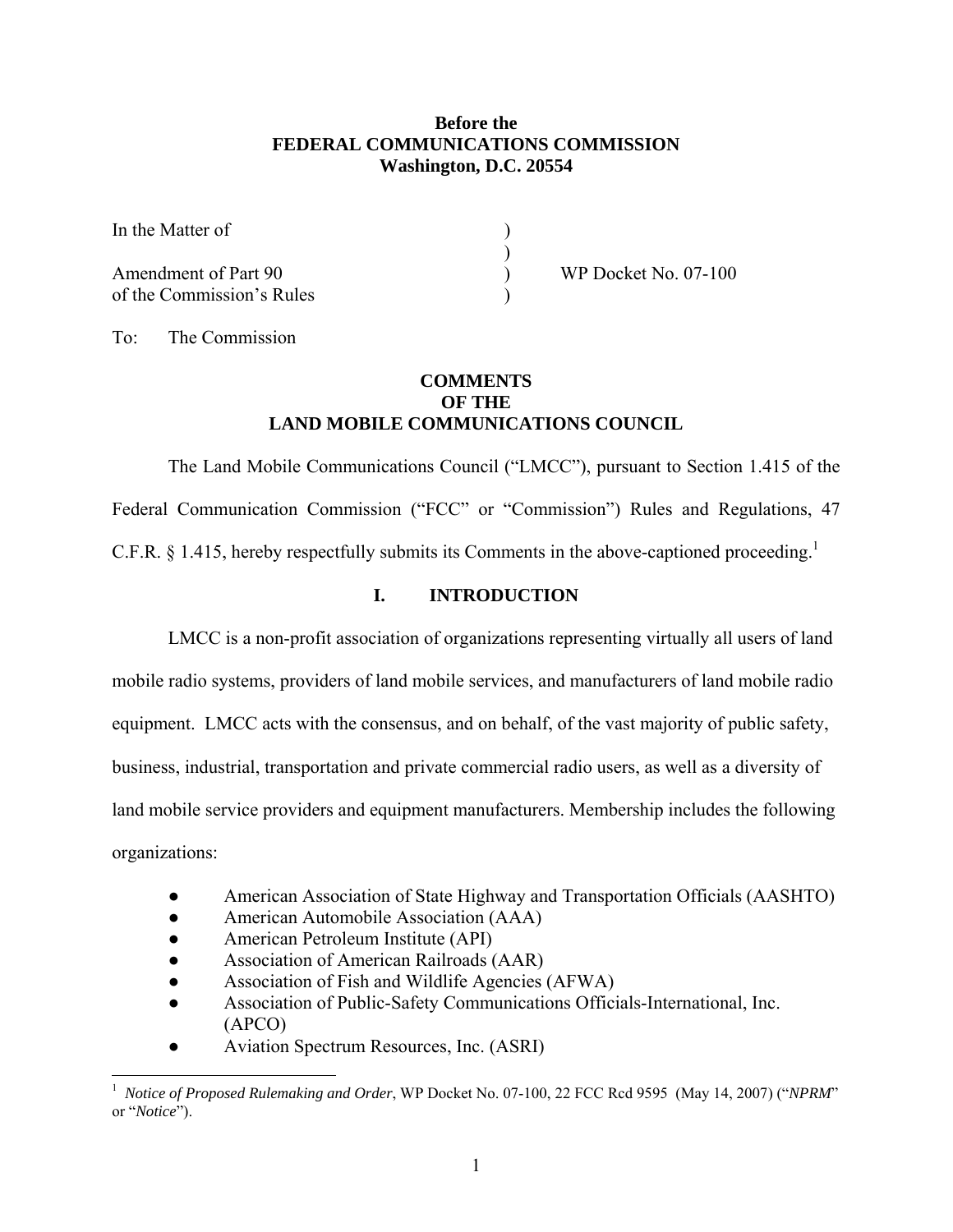## **Before the FEDERAL COMMUNICATIONS COMMISSION Washington, D.C. 20554**

<span id="page-4-0"></span>In the Matter of  $)$ Amendment of Part 90 ) WP Docket No. 07-100 of the Commission's Rules )

To: The Commission

 $\overline{a}$ 

### **COMMENTS OF THE LAND MOBILE COMMUNICATIONS COUNCIL**

The Land Mobile Communications Council ("LMCC"), pursuant to Section 1.415 of the Federal Communication Commission ("FCC" or "Commission") Rules and Regulations, 47 C.F.R. § [1](#page-4-1).415, hereby respectfully submits its Comments in the above-captioned proceeding.<sup>1</sup>

## **I. INTRODUCTION**

LMCC is a non-profit association of organizations representing virtually all users of land mobile radio systems, providers of land mobile services, and manufacturers of land mobile radio equipment. LMCC acts with the consensus, and on behalf, of the vast majority of public safety, business, industrial, transportation and private commercial radio users, as well as a diversity of land mobile service providers and equipment manufacturers. Membership includes the following organizations:

- American Association of State Highway and Transportation Officials (AASHTO)
- American Automobile Association (AAA)
- American Petroleum Institute (API)
- Association of American Railroads (AAR)
- Association of Fish and Wildlife Agencies (AFWA)
- Association of Public-Safety Communications Officials-International, Inc. (APCO)
- Aviation Spectrum Resources, Inc. (ASRI)

<span id="page-4-1"></span><sup>1</sup> *Notice of Proposed Rulemaking and Order*, WP Docket No. 07-100, 22 FCC Rcd 9595 (May 14, 2007) ("*NPRM*" or "*Notice*").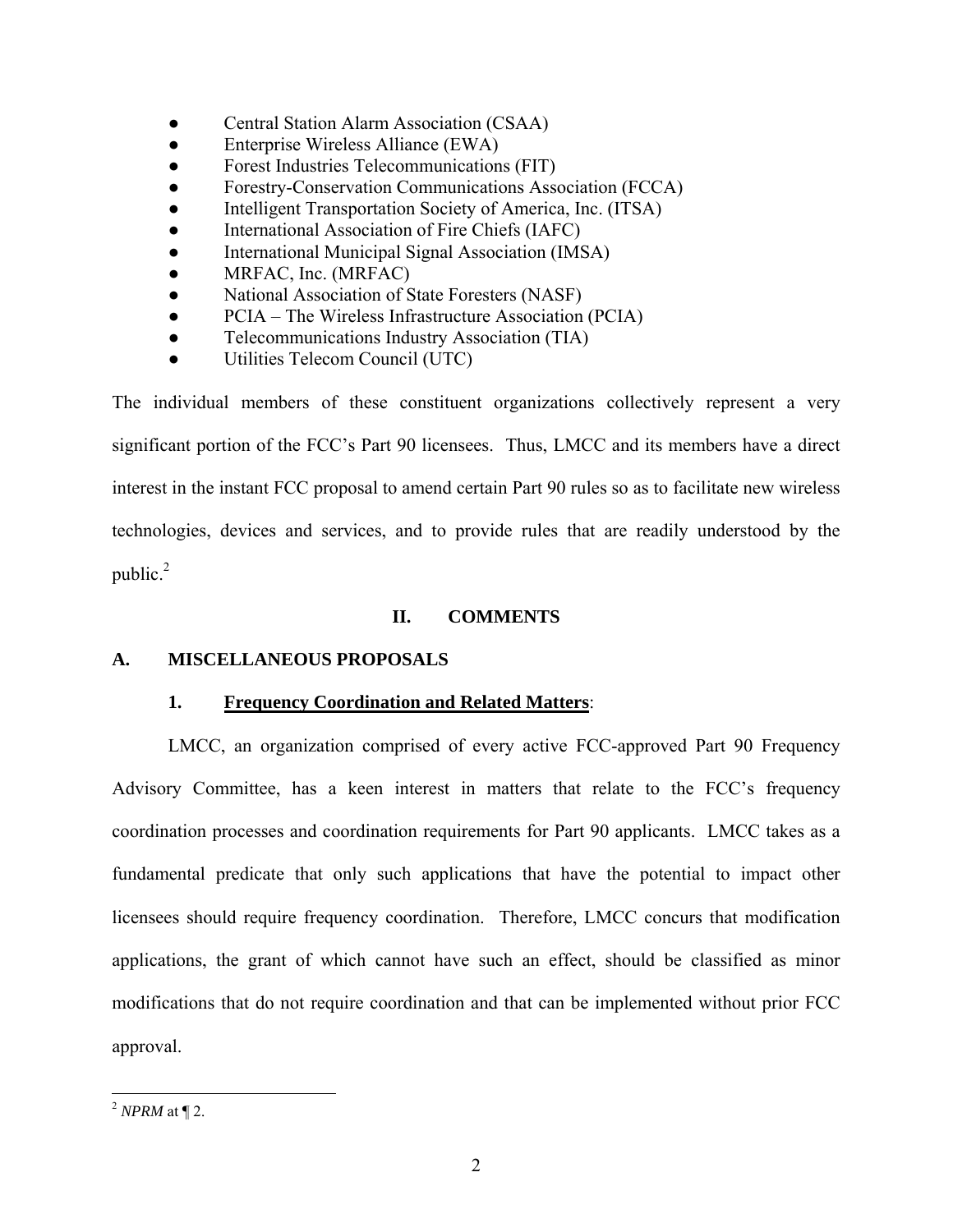- <span id="page-5-0"></span>• Central Station Alarm Association (CSAA)
- Enterprise Wireless Alliance (EWA)
- Forest Industries Telecommunications (FIT)
- Forestry-Conservation Communications Association (FCCA)
- Intelligent Transportation Society of America, Inc. (ITSA)
- International Association of Fire Chiefs (IAFC)
- International Municipal Signal Association (IMSA)
- MRFAC, Inc. (MRFAC)
- National Association of State Foresters (NASF)
- PCIA The Wireless Infrastructure Association (PCIA)
- Telecommunications Industry Association (TIA)
- Utilities Telecom Council (UTC)

The individual members of these constituent organizations collectively represent a very significant portion of the FCC's Part 90 licensees. Thus, LMCC and its members have a direct interest in the instant FCC proposal to amend certain Part 90 rules so as to facilitate new wireless technologies, devices and services, and to provide rules that are readily understood by the public. $^{2}$ 

## **II. COMMENTS**

### **A. MISCELLANEOUS PROPOSALS**

## **1. Frequency Coordination and Related Matters**:

LMCC, an organization comprised of every active FCC-approved Part 90 Frequency Advisory Committee, has a keen interest in matters that relate to the FCC's frequency coordination processes and coordination requirements for Part 90 applicants. LMCC takes as a fundamental predicate that only such applications that have the potential to impact other licensees should require frequency coordination. Therefore, LMCC concurs that modification applications, the grant of which cannot have such an effect, should be classified as minor modifications that do not require coordination and that can be implemented without prior FCC approval.

<span id="page-5-1"></span><sup>&</sup>lt;u>.</u> <sup>2</sup> *NPRM* at ¶ 2.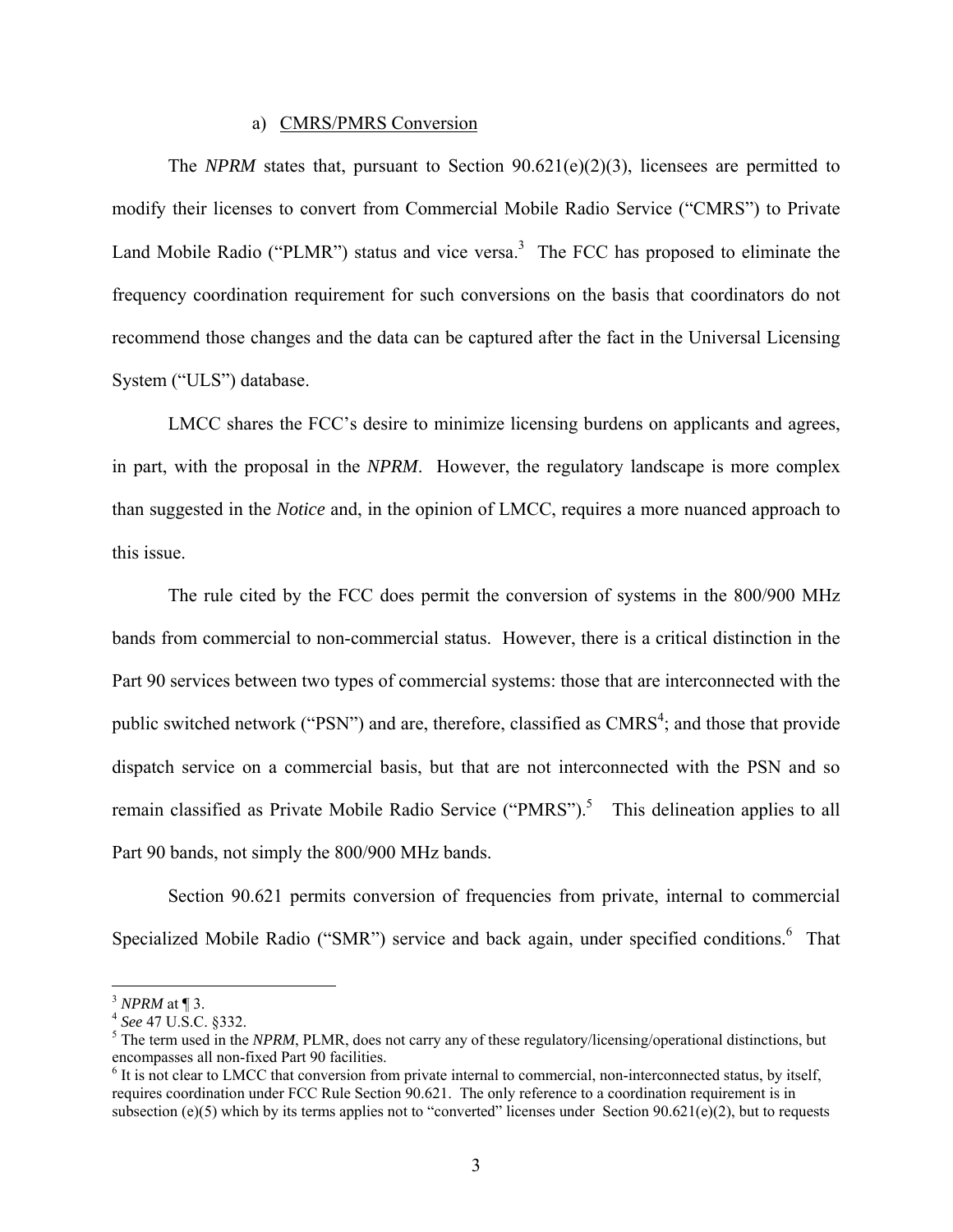#### a) CMRS/PMRS Conversion

<span id="page-6-0"></span> The *NPRM* states that, pursuant to Section 90.621(e)(2)(3), licensees are permitted to modify their licenses to convert from Commercial Mobile Radio Service ("CMRS") to Private Land Mobile Radio ("PLMR") status and vice versa.<sup>3</sup> The FCC has proposed to eliminate the frequency coordination requirement for such conversions on the basis that coordinators do not recommend those changes and the data can be captured after the fact in the Universal Licensing System ("ULS") database.

LMCC shares the FCC's desire to minimize licensing burdens on applicants and agrees, in part, with the proposal in the *NPRM*. However, the regulatory landscape is more complex than suggested in the *Notice* and, in the opinion of LMCC, requires a more nuanced approach to this issue.

The rule cited by the FCC does permit the conversion of systems in the 800/900 MHz bands from commercial to non-commercial status. However, there is a critical distinction in the Part 90 services between two types of commercial systems: those that are interconnected with the public switched network ("PSN") and are, therefore, classified as  $CMRS<sup>4</sup>$  $CMRS<sup>4</sup>$  $CMRS<sup>4</sup>$ ; and those that provide dispatch service on a commercial basis, but that are not interconnected with the PSN and so remain classified as Private Mobile Radio Service ("PMRS").<sup>[5](#page-6-3)</sup> This delineation applies to all Part 90 bands, not simply the 800/900 MHz bands.

Section 90.621 permits conversion of frequencies from private, internal to commercial Specialized Mobile Radio ("SMR") service and back again, under specified conditions.<sup>[6](#page-6-4)</sup> That

<span id="page-6-2"></span><span id="page-6-1"></span>

<sup>&</sup>lt;sup>3</sup> *NPRM* at ¶ 3.<br><sup>4</sup> *See* 47 U.S.C. §332.

<span id="page-6-3"></span><sup>&</sup>lt;sup>5</sup> The term used in the *NPRM*, PLMR, does not carry any of these regulatory/licensing/operational distinctions, but encompasses all non-fixed Part 90 facilities. 6

<span id="page-6-4"></span> $<sup>6</sup>$  It is not clear to LMCC that conversion from private internal to commercial, non-interconnected status, by itself,</sup> requires coordination under FCC Rule Section 90.621. The only reference to a coordination requirement is in subsection (e)(5) which by its terms applies not to "converted" licenses under Section 90.621(e)(2), but to requests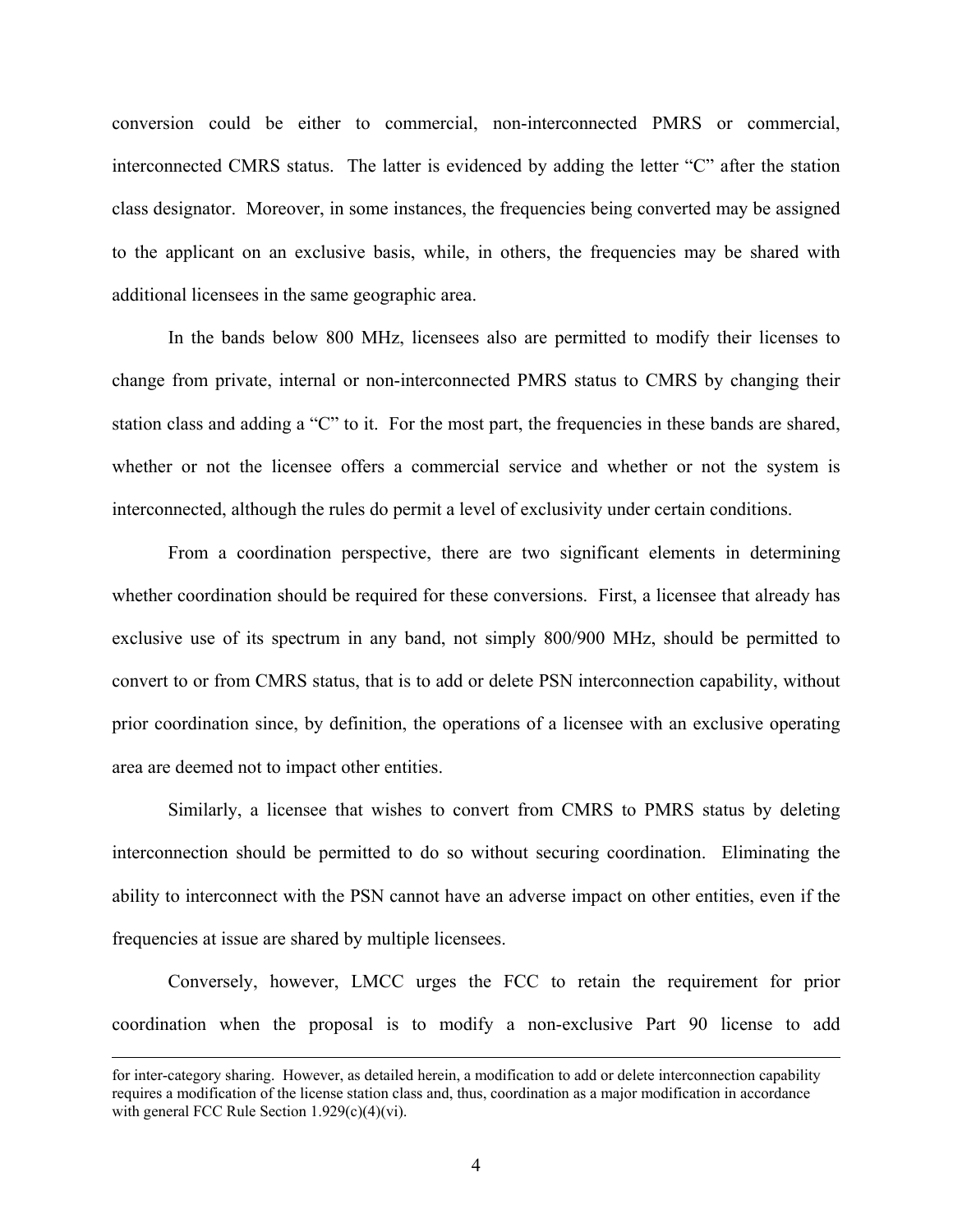conversion could be either to commercial, non-interconnected PMRS or commercial, interconnected CMRS status. The latter is evidenced by adding the letter "C" after the station class designator. Moreover, in some instances, the frequencies being converted may be assigned to the applicant on an exclusive basis, while, in others, the frequencies may be shared with additional licensees in the same geographic area.

In the bands below 800 MHz, licensees also are permitted to modify their licenses to change from private, internal or non-interconnected PMRS status to CMRS by changing their station class and adding a "C" to it. For the most part, the frequencies in these bands are shared, whether or not the licensee offers a commercial service and whether or not the system is interconnected, although the rules do permit a level of exclusivity under certain conditions.

From a coordination perspective, there are two significant elements in determining whether coordination should be required for these conversions. First, a licensee that already has exclusive use of its spectrum in any band, not simply 800/900 MHz, should be permitted to convert to or from CMRS status, that is to add or delete PSN interconnection capability, without prior coordination since, by definition, the operations of a licensee with an exclusive operating area are deemed not to impact other entities.

Similarly, a licensee that wishes to convert from CMRS to PMRS status by deleting interconnection should be permitted to do so without securing coordination. Eliminating the ability to interconnect with the PSN cannot have an adverse impact on other entities, even if the frequencies at issue are shared by multiple licensees.

Conversely, however, LMCC urges the FCC to retain the requirement for prior coordination when the proposal is to modify a non-exclusive Part 90 license to add

for inter-category sharing. However, as detailed herein, a modification to add or delete interconnection capability requires a modification of the license station class and, thus, coordination as a major modification in accordance with general FCC Rule Section 1.929(c)(4)(vi).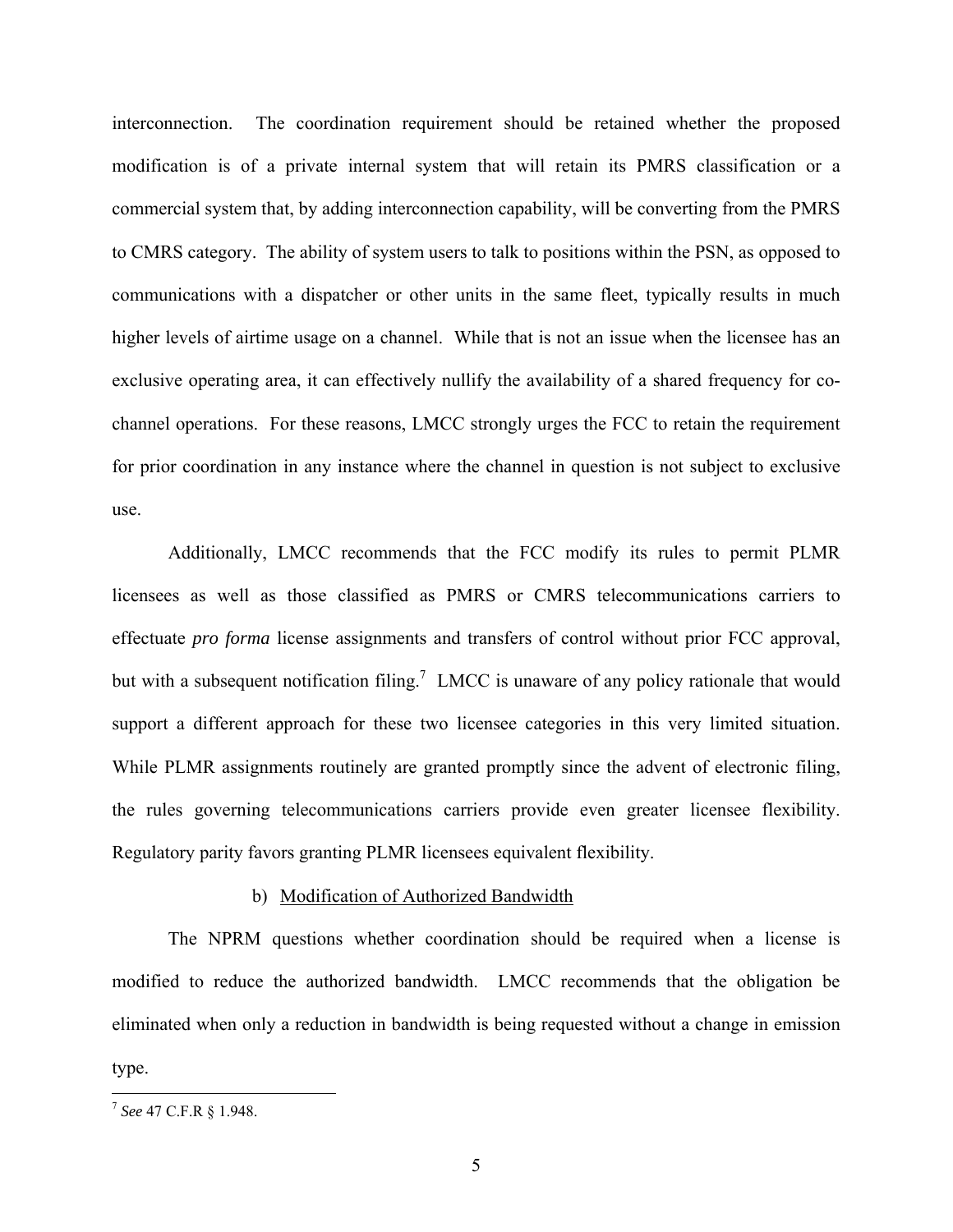<span id="page-8-0"></span>interconnection. The coordination requirement should be retained whether the proposed modification is of a private internal system that will retain its PMRS classification or a commercial system that, by adding interconnection capability, will be converting from the PMRS to CMRS category. The ability of system users to talk to positions within the PSN, as opposed to communications with a dispatcher or other units in the same fleet, typically results in much higher levels of airtime usage on a channel. While that is not an issue when the licensee has an exclusive operating area, it can effectively nullify the availability of a shared frequency for cochannel operations. For these reasons, LMCC strongly urges the FCC to retain the requirement for prior coordination in any instance where the channel in question is not subject to exclusive use.

Additionally, LMCC recommends that the FCC modify its rules to permit PLMR licensees as well as those classified as PMRS or CMRS telecommunications carriers to effectuate *pro forma* license assignments and transfers of control without prior FCC approval, but with a subsequent notification filing.<sup>[7](#page-8-1)</sup> LMCC is unaware of any policy rationale that would support a different approach for these two licensee categories in this very limited situation. While PLMR assignments routinely are granted promptly since the advent of electronic filing, the rules governing telecommunications carriers provide even greater licensee flexibility. Regulatory parity favors granting PLMR licensees equivalent flexibility.

#### b) Modification of Authorized Bandwidth

The NPRM questions whether coordination should be required when a license is modified to reduce the authorized bandwidth. LMCC recommends that the obligation be eliminated when only a reduction in bandwidth is being requested without a change in emission type.

<span id="page-8-1"></span><sup>7</sup> *See* 47 C.F.R § 1.948.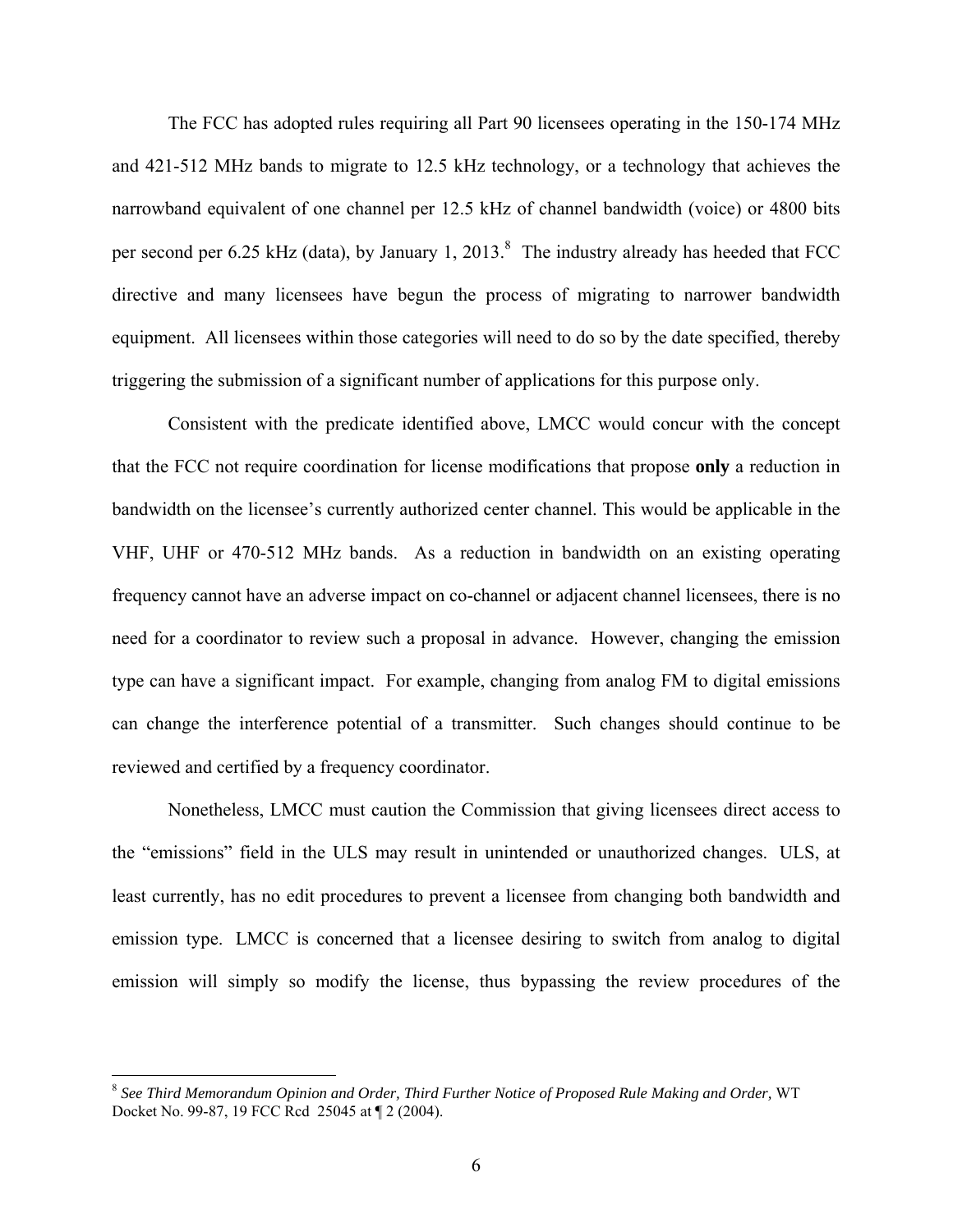The FCC has adopted rules requiring all Part 90 licensees operating in the 150-174 MHz and 421-512 MHz bands to migrate to 12.5 kHz technology, or a technology that achieves the narrowband equivalent of one channel per 12.5 kHz of channel bandwidth (voice) or 4800 bits persecond per 6.25 kHz (data), by January 1, 2013. $8$  The industry already has heeded that FCC directive and many licensees have begun the process of migrating to narrower bandwidth equipment. All licensees within those categories will need to do so by the date specified, thereby triggering the submission of a significant number of applications for this purpose only.

Consistent with the predicate identified above, LMCC would concur with the concept that the FCC not require coordination for license modifications that propose **only** a reduction in bandwidth on the licensee's currently authorized center channel. This would be applicable in the VHF, UHF or 470-512 MHz bands. As a reduction in bandwidth on an existing operating frequency cannot have an adverse impact on co-channel or adjacent channel licensees, there is no need for a coordinator to review such a proposal in advance. However, changing the emission type can have a significant impact. For example, changing from analog FM to digital emissions can change the interference potential of a transmitter. Such changes should continue to be reviewed and certified by a frequency coordinator.

Nonetheless, LMCC must caution the Commission that giving licensees direct access to the "emissions" field in the ULS may result in unintended or unauthorized changes. ULS, at least currently, has no edit procedures to prevent a licensee from changing both bandwidth and emission type. LMCC is concerned that a licensee desiring to switch from analog to digital emission will simply so modify the license, thus bypassing the review procedures of the

<span id="page-9-0"></span><sup>8</sup> *See Third Memorandum Opinion and Order, Third Further Notice of Proposed Rule Making and Order,* WT Docket No. 99-87, 19 FCC Rcd 25045 at ¶ 2 (2004).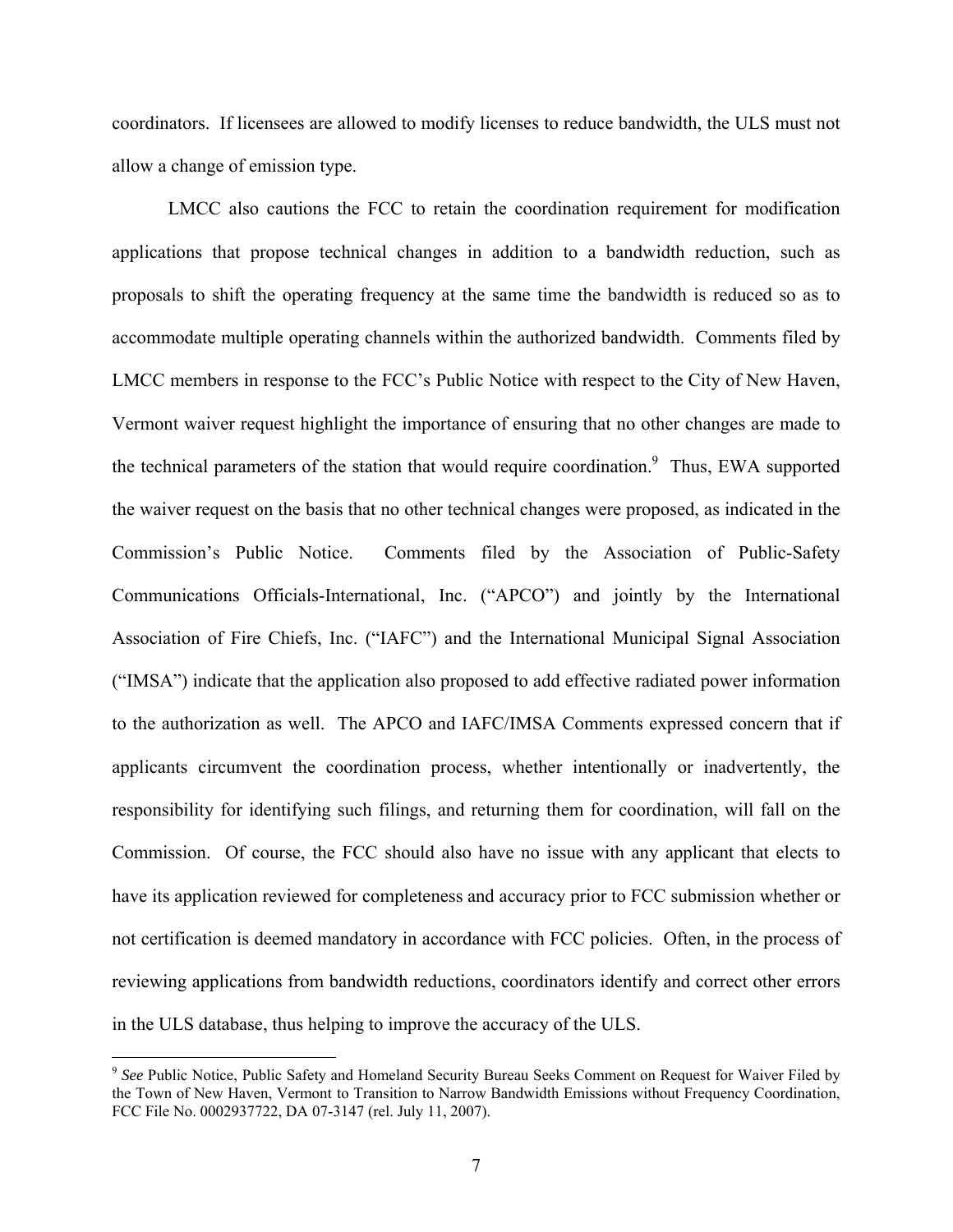coordinators. If licensees are allowed to modify licenses to reduce bandwidth, the ULS must not allow a change of emission type.

LMCC also cautions the FCC to retain the coordination requirement for modification applications that propose technical changes in addition to a bandwidth reduction, such as proposals to shift the operating frequency at the same time the bandwidth is reduced so as to accommodate multiple operating channels within the authorized bandwidth. Comments filed by LMCC members in response to the FCC's Public Notice with respect to the City of New Haven, Vermont waiver request highlight the importance of ensuring that no other changes are made to the technical parameters of the station that would require coordination.<sup>9</sup> Thus, EWA supported the waiver request on the basis that no other technical changes were proposed, as indicated in the Commission's Public Notice. Comments filed by the Association of Public-Safety Communications Officials-International, Inc. ("APCO") and jointly by the International Association of Fire Chiefs, Inc. ("IAFC") and the International Municipal Signal Association ("IMSA") indicate that the application also proposed to add effective radiated power information to the authorization as well. The APCO and IAFC/IMSA Comments expressed concern that if applicants circumvent the coordination process, whether intentionally or inadvertently, the responsibility for identifying such filings, and returning them for coordination, will fall on the Commission. Of course, the FCC should also have no issue with any applicant that elects to have its application reviewed for completeness and accuracy prior to FCC submission whether or not certification is deemed mandatory in accordance with FCC policies. Often, in the process of reviewing applications from bandwidth reductions, coordinators identify and correct other errors in the ULS database, thus helping to improve the accuracy of the ULS.

1

<span id="page-10-0"></span><sup>9</sup> *See* Public Notice, Public Safety and Homeland Security Bureau Seeks Comment on Request for Waiver Filed by the Town of New Haven, Vermont to Transition to Narrow Bandwidth Emissions without Frequency Coordination, FCC File No. 0002937722, DA 07-3147 (rel. July 11, 2007).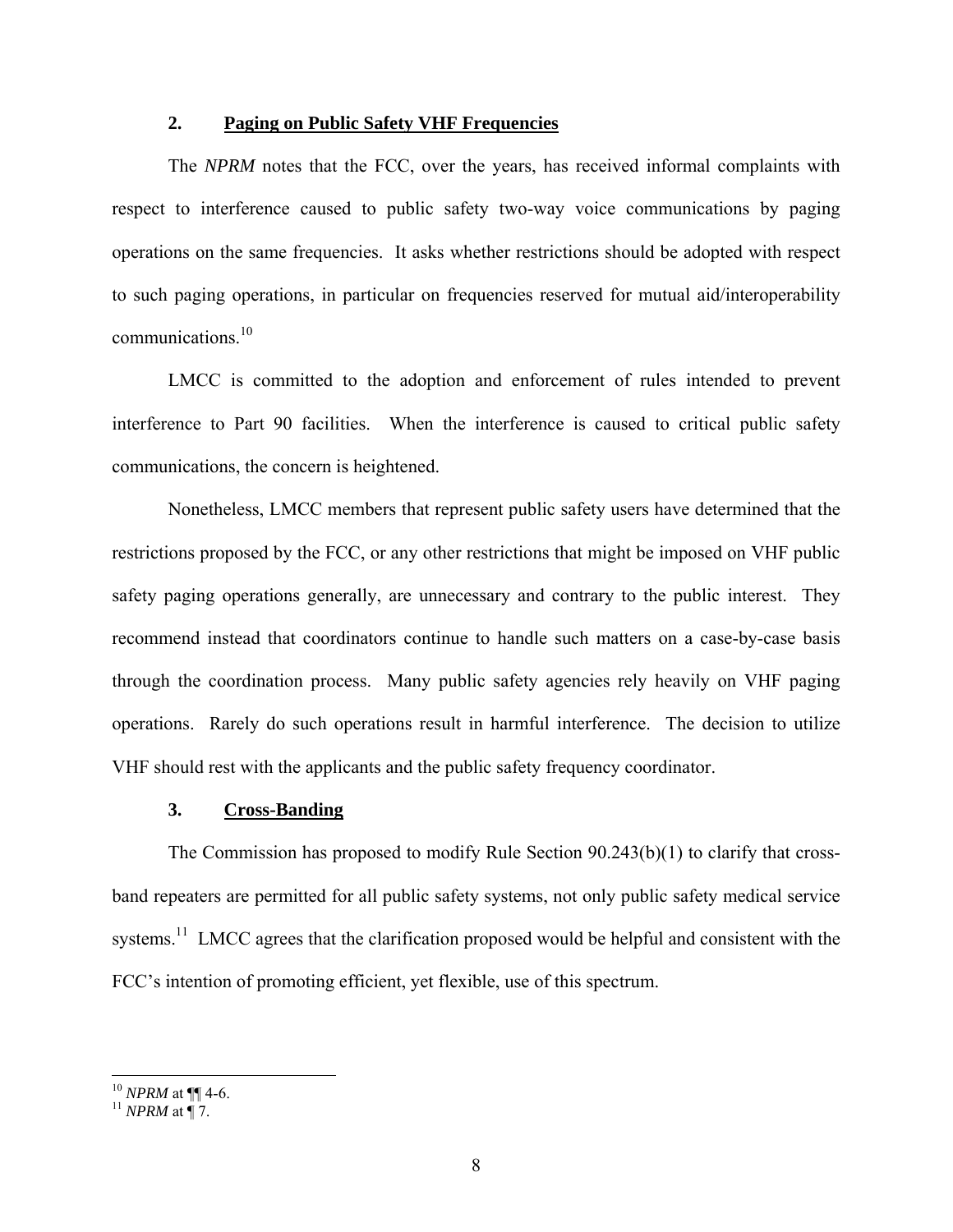#### **2. Paging on Public Safety VHF Frequencies**

<span id="page-11-0"></span>The *NPRM* notes that the FCC, over the years, has received informal complaints with respect to interference caused to public safety two-way voice communications by paging operations on the same frequencies. It asks whether restrictions should be adopted with respect to such paging operations, in particular on frequencies reserved for mutual aid/interoperability communications.<sup>[10](#page-11-1)</sup>

LMCC is committed to the adoption and enforcement of rules intended to prevent interference to Part 90 facilities. When the interference is caused to critical public safety communications, the concern is heightened.

Nonetheless, LMCC members that represent public safety users have determined that the restrictions proposed by the FCC, or any other restrictions that might be imposed on VHF public safety paging operations generally, are unnecessary and contrary to the public interest. They recommend instead that coordinators continue to handle such matters on a case-by-case basis through the coordination process. Many public safety agencies rely heavily on VHF paging operations. Rarely do such operations result in harmful interference. The decision to utilize VHF should rest with the applicants and the public safety frequency coordinator.

#### **3. Cross-Banding**

The Commission has proposed to modify Rule Section 90.243(b)(1) to clarify that crossband repeaters are permitted for all public safety systems, not only public safety medical service systems.<sup>11</sup> LMCC agrees that the clarification proposed would be helpful and consistent with the FCC's intention of promoting efficient, yet flexible, use of this spectrum.

1

<span id="page-11-1"></span><sup>&</sup>lt;sup>10</sup> *NPRM* at ¶[[ 4-6.<br><sup>11</sup> *NPRM* at [[ 7.

<span id="page-11-2"></span>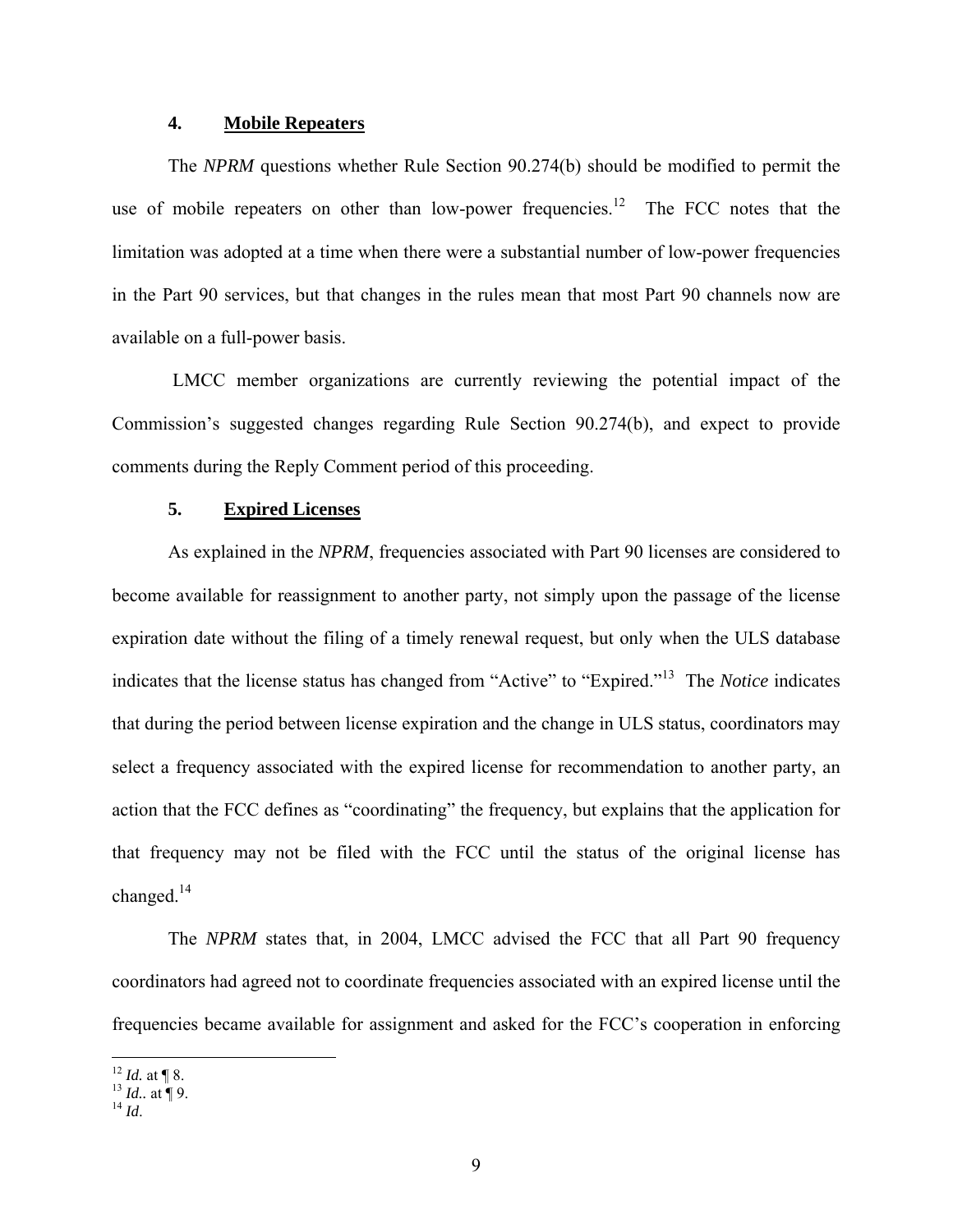### **4. Mobile Repeaters**

<span id="page-12-0"></span>The *NPRM* questions whether Rule Section 90.274(b) should be modified to permit the use of mobile repeaters on other than low-power frequencies.<sup>12</sup> The FCC notes that the limitation was adopted at a time when there were a substantial number of low-power frequencies in the Part 90 services, but that changes in the rules mean that most Part 90 channels now are available on a full-power basis.

LMCC member organizations are currently reviewing the potential impact of the Commission's suggested changes regarding Rule Section 90.274(b), and expect to provide comments during the Reply Comment period of this proceeding.

#### **5. Expired Licenses**

As explained in the *NPRM*, frequencies associated with Part 90 licenses are considered to become available for reassignment to another party, not simply upon the passage of the license expiration date without the filing of a timely renewal request, but only when the ULS database indicates that the license status has changed from "Active" to "Expired."[13](#page-12-2) The *Notice* indicates that during the period between license expiration and the change in ULS status, coordinators may select a frequency associated with the expired license for recommendation to another party, an action that the FCC defines as "coordinating" the frequency, but explains that the application for that frequency may not be filed with the FCC until the status of the original license has changed[.14](#page-12-3)

The *NPRM* states that, in 2004, LMCC advised the FCC that all Part 90 frequency coordinators had agreed not to coordinate frequencies associated with an expired license until the frequencies became available for assignment and asked for the FCC's cooperation in enforcing

 $\overline{a}$ 

<span id="page-12-2"></span><span id="page-12-1"></span><sup>12</sup> *Id.* at ¶ 8. 13 *Id..* at ¶ 9. 14 *Id*.

<span id="page-12-3"></span>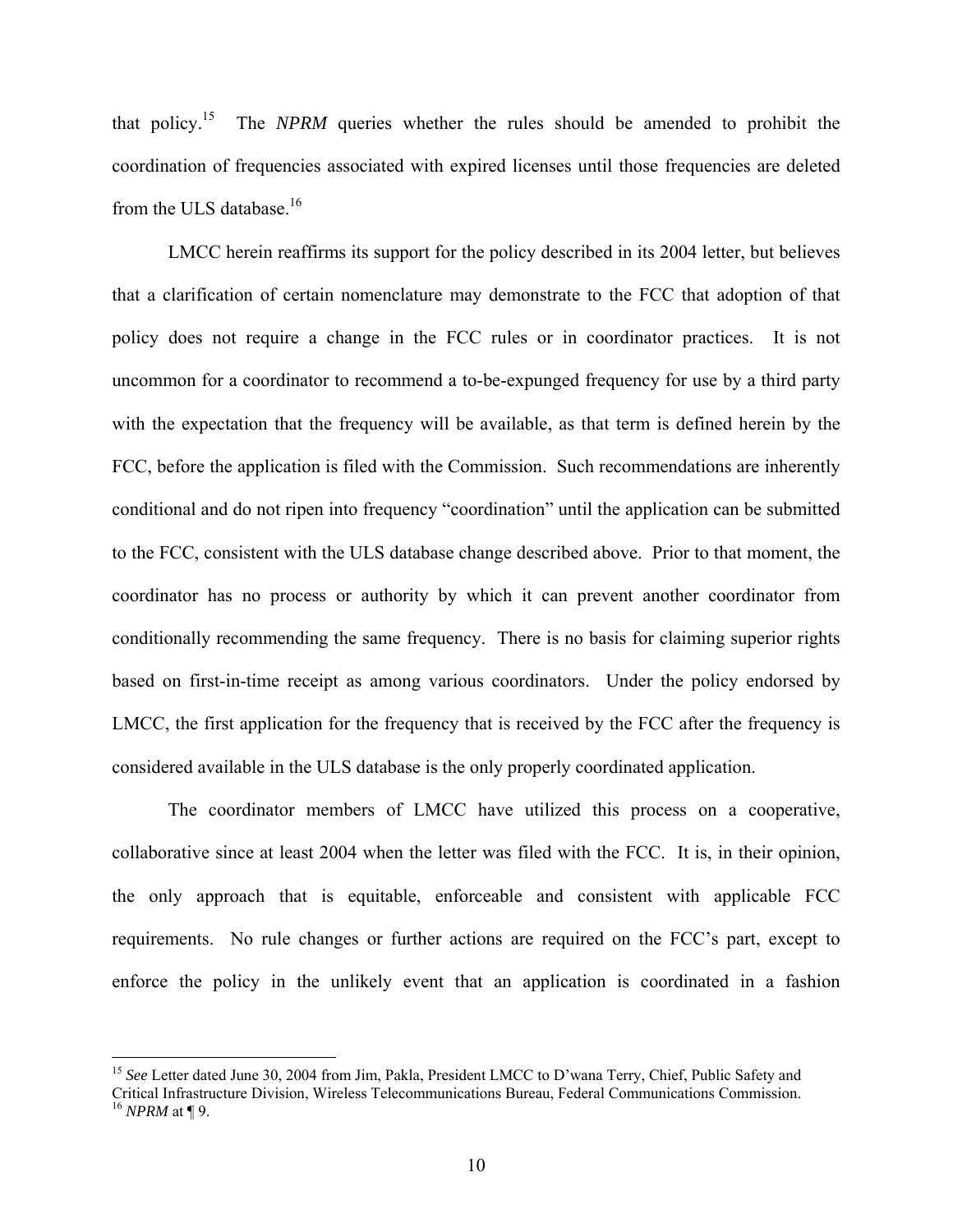that policy[.15](#page-13-0) The *NPRM* queries whether the rules should be amended to prohibit the coordination of frequencies associated with expired licenses until those frequencies are deleted from the ULS database.<sup>16</sup>

LMCC herein reaffirms its support for the policy described in its 2004 letter, but believes that a clarification of certain nomenclature may demonstrate to the FCC that adoption of that policy does not require a change in the FCC rules or in coordinator practices. It is not uncommon for a coordinator to recommend a to-be-expunged frequency for use by a third party with the expectation that the frequency will be available, as that term is defined herein by the FCC, before the application is filed with the Commission. Such recommendations are inherently conditional and do not ripen into frequency "coordination" until the application can be submitted to the FCC, consistent with the ULS database change described above. Prior to that moment, the coordinator has no process or authority by which it can prevent another coordinator from conditionally recommending the same frequency. There is no basis for claiming superior rights based on first-in-time receipt as among various coordinators. Under the policy endorsed by LMCC, the first application for the frequency that is received by the FCC after the frequency is considered available in the ULS database is the only properly coordinated application.

The coordinator members of LMCC have utilized this process on a cooperative, collaborative since at least 2004 when the letter was filed with the FCC. It is, in their opinion, the only approach that is equitable, enforceable and consistent with applicable FCC requirements. No rule changes or further actions are required on the FCC's part, except to enforce the policy in the unlikely event that an application is coordinated in a fashion

<span id="page-13-1"></span><span id="page-13-0"></span><sup>&</sup>lt;sup>15</sup> See Letter dated June 30, 2004 from Jim, Pakla, President LMCC to D'wana Terry, Chief, Public Safety and Critical Infrastructure Division, Wireless Telecommunications Bureau, Federal Communications Commission. 16 *NPRM* at ¶ 9.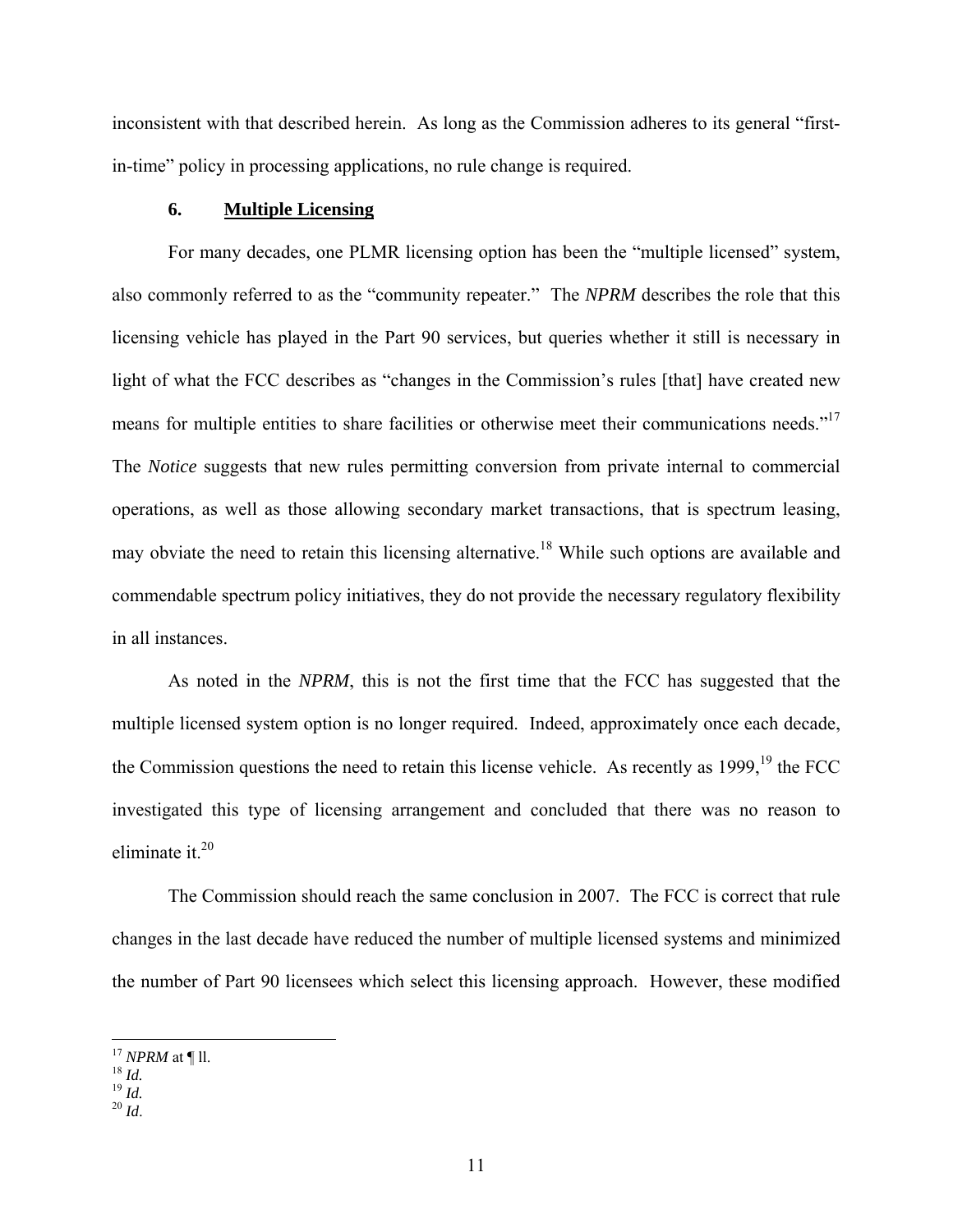<span id="page-14-0"></span>inconsistent with that described herein. As long as the Commission adheres to its general "firstin-time" policy in processing applications, no rule change is required.

### **6. Multiple Licensing**

For many decades, one PLMR licensing option has been the "multiple licensed" system, also commonly referred to as the "community repeater." The *NPRM* describes the role that this licensing vehicle has played in the Part 90 services, but queries whether it still is necessary in light of what the FCC describes as "changes in the Commission's rules [that] have created new means for multiple entities to share facilities or otherwise meet their communications needs."<sup>17</sup> The *Notice* suggests that new rules permitting conversion from private internal to commercial operations, as well as those allowing secondary market transactions, that is spectrum leasing, may obviate the need to retain this licensing alternative[.18](#page-14-2) While such options are available and commendable spectrum policy initiatives, they do not provide the necessary regulatory flexibility in all instances.

As noted in the *NPRM*, this is not the first time that the FCC has suggested that the multiple licensed system option is no longer required. Indeed, approximately once each decade, the Commission questions the need to retain this license vehicle. As recently as 1999,<sup>19</sup> the FCC investigated this type of licensing arrangement and concluded that there was no reason to eliminate it. $20$ 

The Commission should reach the same conclusion in 2007. The FCC is correct that rule changes in the last decade have reduced the number of multiple licensed systems and minimized the number of Part 90 licensees which select this licensing approach. However, these modified

<span id="page-14-1"></span><sup>&</sup>lt;sup>17</sup> *NPRM* at ¶ ll.<br><sup>18</sup> *Id.*<br><sup>19</sup> *Id.* 20 *Id.* 

<span id="page-14-2"></span>

<span id="page-14-3"></span>

<span id="page-14-4"></span>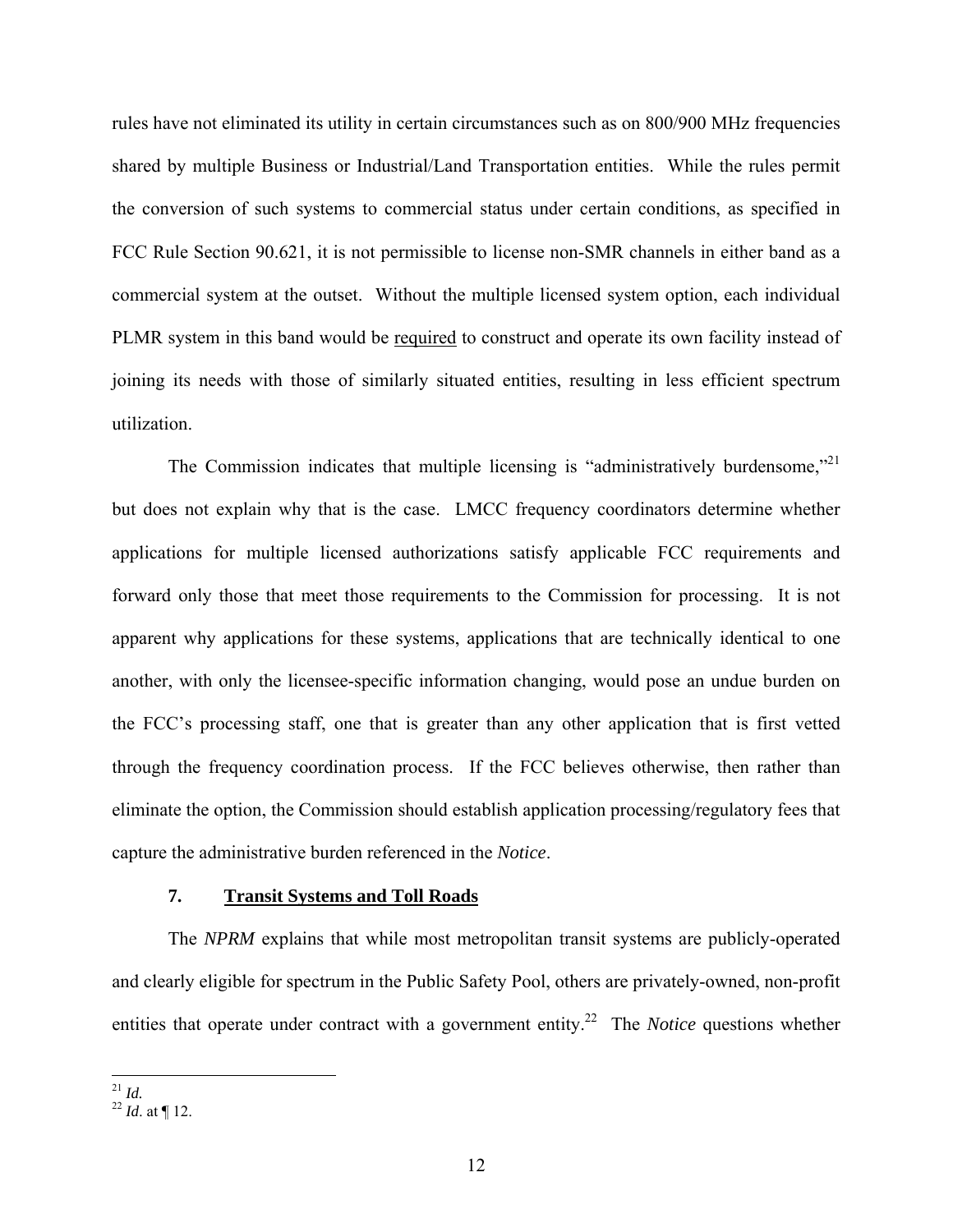<span id="page-15-0"></span>rules have not eliminated its utility in certain circumstances such as on 800/900 MHz frequencies shared by multiple Business or Industrial/Land Transportation entities. While the rules permit the conversion of such systems to commercial status under certain conditions, as specified in FCC Rule Section 90.621, it is not permissible to license non-SMR channels in either band as a commercial system at the outset. Without the multiple licensed system option, each individual PLMR system in this band would be required to construct and operate its own facility instead of joining its needs with those of similarly situated entities, resulting in less efficient spectrum utilization.

The Commission indicates that multiple licensing is "administratively burdensome,"<sup>21</sup> but does not explain why that is the case. LMCC frequency coordinators determine whether applications for multiple licensed authorizations satisfy applicable FCC requirements and forward only those that meet those requirements to the Commission for processing. It is not apparent why applications for these systems, applications that are technically identical to one another, with only the licensee-specific information changing, would pose an undue burden on the FCC's processing staff, one that is greater than any other application that is first vetted through the frequency coordination process. If the FCC believes otherwise, then rather than eliminate the option, the Commission should establish application processing/regulatory fees that capture the administrative burden referenced in the *Notice*.

### **7. Transit Systems and Toll Roads**

The *NPRM* explains that while most metropolitan transit systems are publicly-operated and clearly eligible for spectrum in the Public Safety Pool, others are privately-owned, non-profit entities that operate under contract with a government entity.<sup>22</sup> The *Notice* questions whether

<span id="page-15-1"></span> $^{21}$  *Id.* 

<span id="page-15-2"></span> $^{22}$  *Id.* at ¶ 12.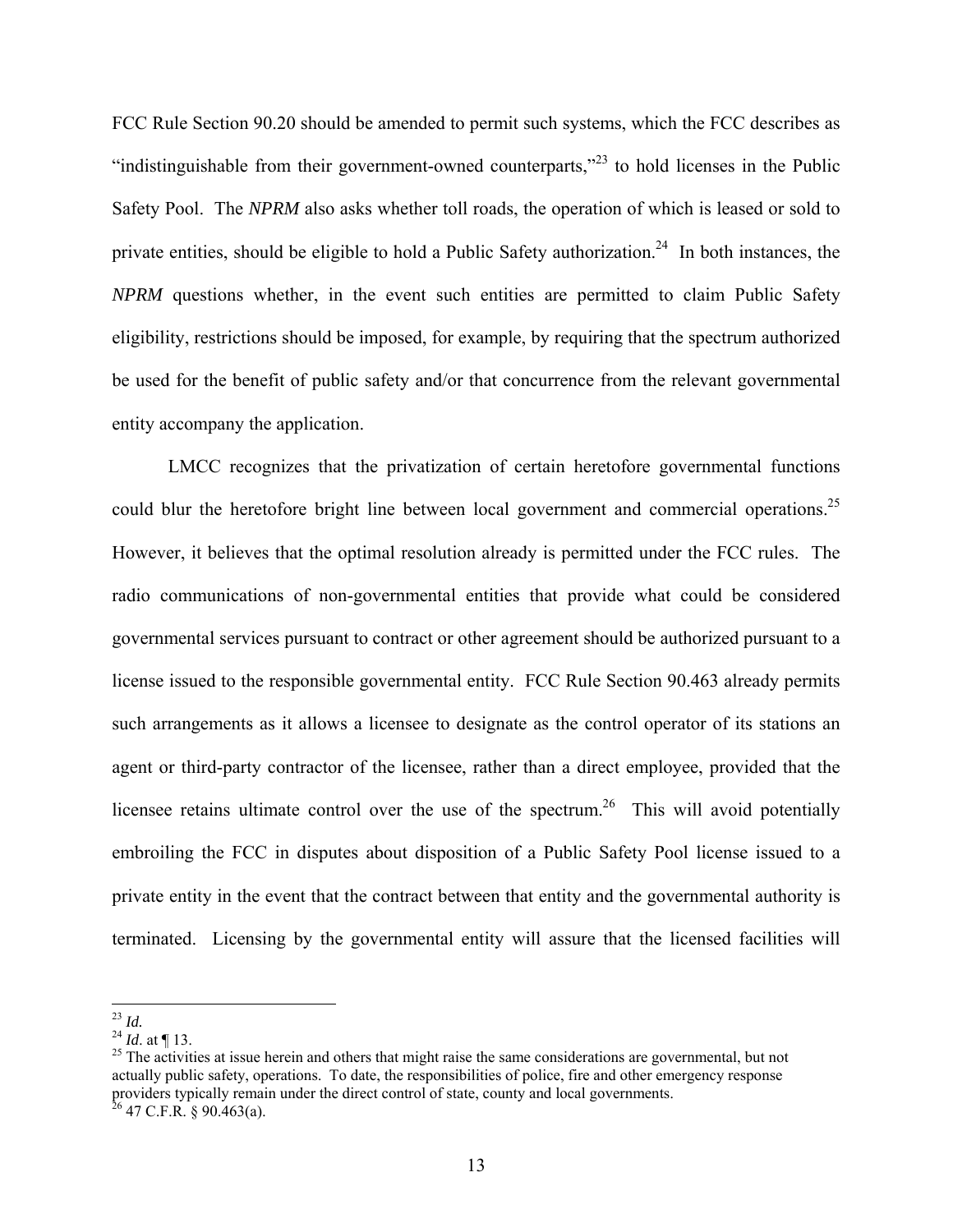FCC Rule Section 90.20 should be amended to permit such systems, which the FCC describes as "indistinguishable from their government-owned counterparts,"<sup>23</sup> to hold licenses in the Public Safety Pool. The *NPRM* also asks whether toll roads, the operation of which is leased or sold to private entities, should be eligible to hold a Public Safety authorization.<sup>24</sup> In both instances, the *NPRM* questions whether, in the event such entities are permitted to claim Public Safety eligibility, restrictions should be imposed, for example, by requiring that the spectrum authorized be used for the benefit of public safety and/or that concurrence from the relevant governmental entity accompany the application.

LMCC recognizes that the privatization of certain heretofore governmental functions could blur the heretofore bright line between local government and commercial operations.<sup>25</sup> However, it believes that the optimal resolution already is permitted under the FCC rules. The radio communications of non-governmental entities that provide what could be considered governmental services pursuant to contract or other agreement should be authorized pursuant to a license issued to the responsible governmental entity. FCC Rule Section 90.463 already permits such arrangements as it allows a licensee to designate as the control operator of its stations an agent or third-party contractor of the licensee, rather than a direct employee, provided that the licensee retains ultimate control over the use of the spectrum.<sup>26</sup> This will avoid potentially embroiling the FCC in disputes about disposition of a Public Safety Pool license issued to a private entity in the event that the contract between that entity and the governmental authority is terminated. Licensing by the governmental entity will assure that the licensed facilities will

<span id="page-16-0"></span> $^{23}$  Id.

<span id="page-16-3"></span><span id="page-16-2"></span><span id="page-16-1"></span>

<sup>&</sup>lt;sup>24</sup> *Id.* at  $\P$  13.<br><sup>25</sup> The activities at issue herein and others that might raise the same considerations are governmental, but not actually public safety, operations. To date, the responsibilities of police, fire and other emergency response providers typically remain under the direct control of state, county and local governments. <sup>26</sup> 47 C.F.R. § 90.463(a).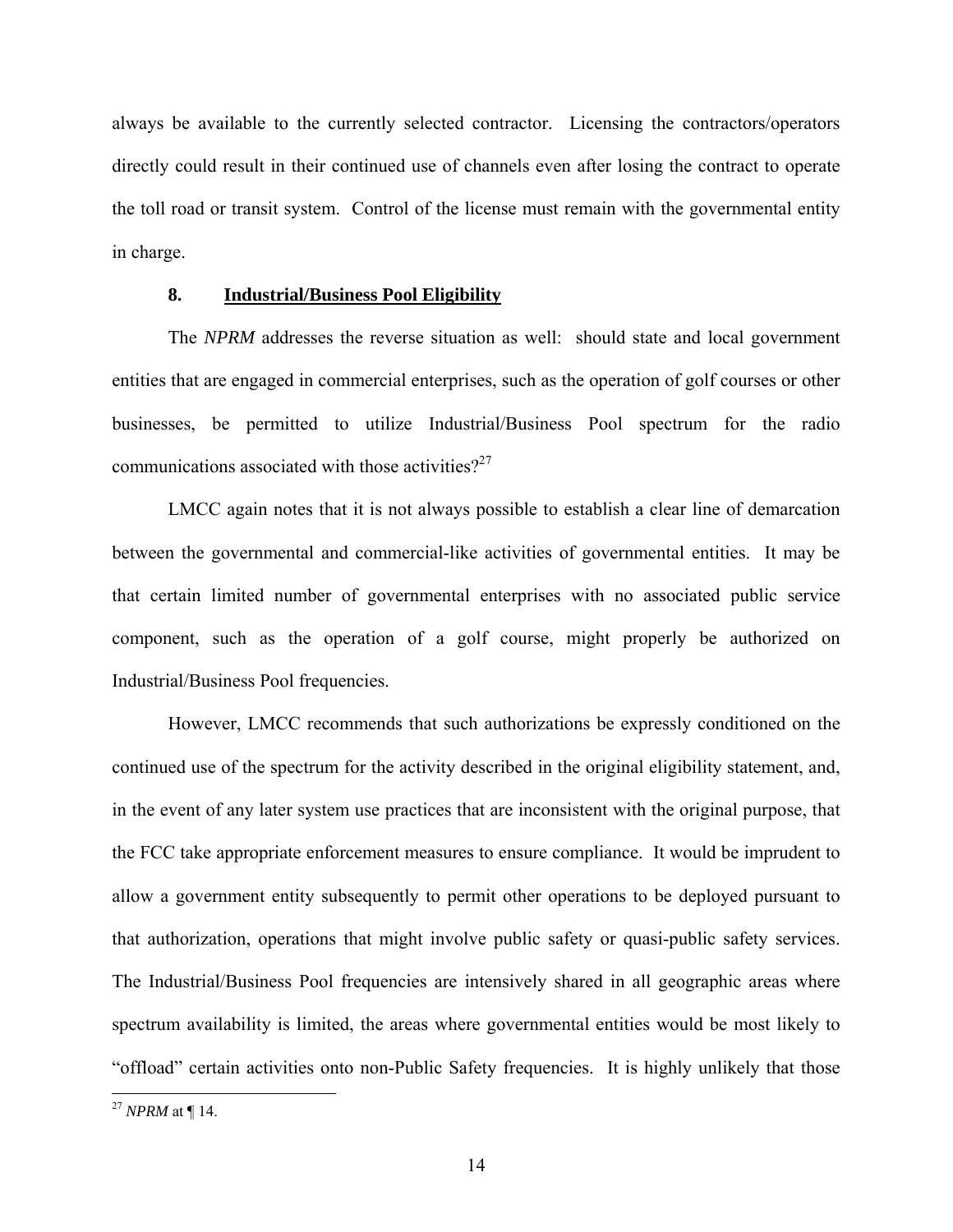<span id="page-17-0"></span>always be available to the currently selected contractor. Licensing the contractors/operators directly could result in their continued use of channels even after losing the contract to operate the toll road or transit system. Control of the license must remain with the governmental entity in charge.

### **8. Industrial/Business Pool Eligibility**

The *NPRM* addresses the reverse situation as well: should state and local government entities that are engaged in commercial enterprises, such as the operation of golf courses or other businesses, be permitted to utilize Industrial/Business Pool spectrum for the radio communications associated with those activities? $2^{27}$  $2^{27}$  $2^{27}$ 

LMCC again notes that it is not always possible to establish a clear line of demarcation between the governmental and commercial-like activities of governmental entities. It may be that certain limited number of governmental enterprises with no associated public service component, such as the operation of a golf course, might properly be authorized on Industrial/Business Pool frequencies.

However, LMCC recommends that such authorizations be expressly conditioned on the continued use of the spectrum for the activity described in the original eligibility statement, and, in the event of any later system use practices that are inconsistent with the original purpose, that the FCC take appropriate enforcement measures to ensure compliance. It would be imprudent to allow a government entity subsequently to permit other operations to be deployed pursuant to that authorization, operations that might involve public safety or quasi-public safety services. The Industrial/Business Pool frequencies are intensively shared in all geographic areas where spectrum availability is limited, the areas where governmental entities would be most likely to "offload" certain activities onto non-Public Safety frequencies. It is highly unlikely that those

<span id="page-17-1"></span><sup>27</sup> *NPRM* at ¶ 14.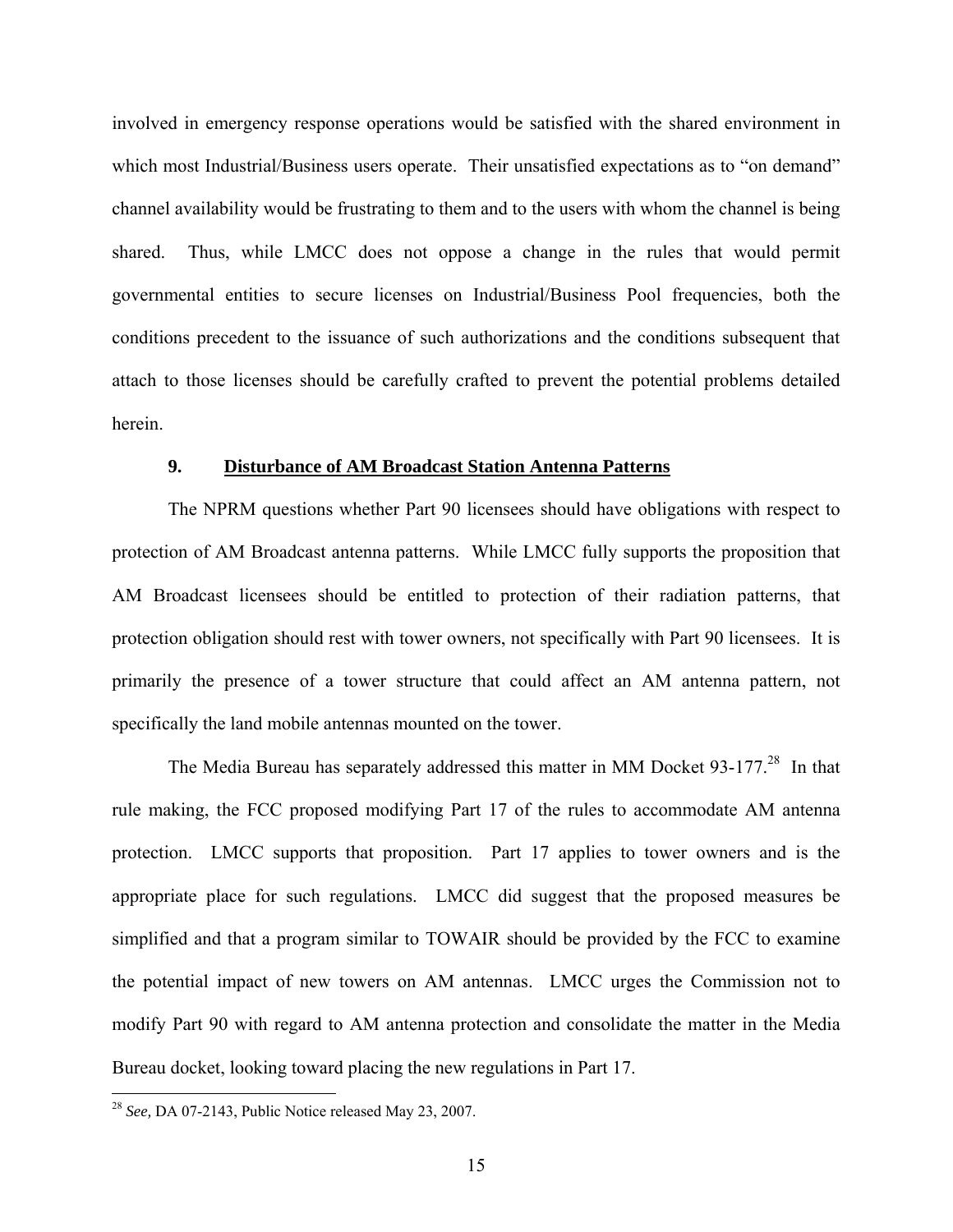<span id="page-18-0"></span>involved in emergency response operations would be satisfied with the shared environment in which most Industrial/Business users operate. Their unsatisfied expectations as to "on demand" channel availability would be frustrating to them and to the users with whom the channel is being shared. Thus, while LMCC does not oppose a change in the rules that would permit governmental entities to secure licenses on Industrial/Business Pool frequencies, both the conditions precedent to the issuance of such authorizations and the conditions subsequent that attach to those licenses should be carefully crafted to prevent the potential problems detailed herein.

### **9. Disturbance of AM Broadcast Station Antenna Patterns**

The NPRM questions whether Part 90 licensees should have obligations with respect to protection of AM Broadcast antenna patterns. While LMCC fully supports the proposition that AM Broadcast licensees should be entitled to protection of their radiation patterns, that protection obligation should rest with tower owners, not specifically with Part 90 licensees. It is primarily the presence of a tower structure that could affect an AM antenna pattern, not specifically the land mobile antennas mounted on the tower.

The Media Bureau has separately addressed this matter in MM Docket 93-177.<sup>28</sup> In that rule making, the FCC proposed modifying Part 17 of the rules to accommodate AM antenna protection. LMCC supports that proposition. Part 17 applies to tower owners and is the appropriate place for such regulations. LMCC did suggest that the proposed measures be simplified and that a program similar to TOWAIR should be provided by the FCC to examine the potential impact of new towers on AM antennas. LMCC urges the Commission not to modify Part 90 with regard to AM antenna protection and consolidate the matter in the Media Bureau docket, looking toward placing the new regulations in Part 17.

<span id="page-18-1"></span><sup>28</sup> *See,* DA 07-2143, Public Notice released May 23, 2007.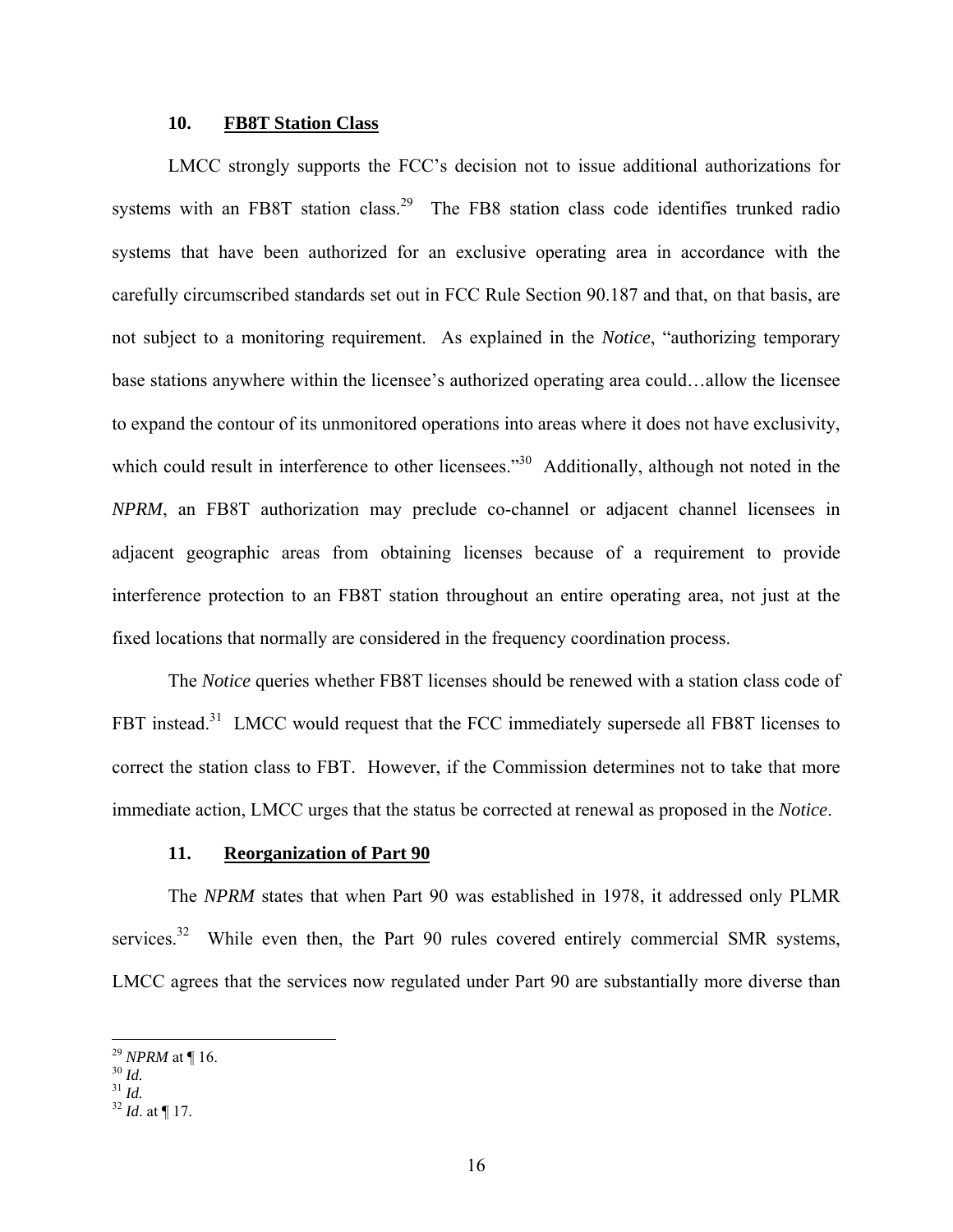### **10. FB8T Station Class**

<span id="page-19-0"></span>LMCC strongly supports the FCC's decision not to issue additional authorizations for systems with an FB8T station class.<sup>29</sup> The FB8 station class code identifies trunked radio systems that have been authorized for an exclusive operating area in accordance with the carefully circumscribed standards set out in FCC Rule Section 90.187 and that, on that basis, are not subject to a monitoring requirement. As explained in the *Notice*, "authorizing temporary base stations anywhere within the licensee's authorized operating area could…allow the licensee to expand the contour of its unmonitored operations into areas where it does not have exclusivity, which could result in interference to other licensees."<sup>30</sup> Additionally, although not noted in the *NPRM*, an FB8T authorization may preclude co-channel or adjacent channel licensees in adjacent geographic areas from obtaining licenses because of a requirement to provide interference protection to an FB8T station throughout an entire operating area, not just at the fixed locations that normally are considered in the frequency coordination process.

The *Notice* queries whether FB8T licenses should be renewed with a station class code of FBT instead.<sup>31</sup> LMCC would request that the FCC immediately supersede all FB8T licenses to correct the station class to FBT. However, if the Commission determines not to take that more immediate action, LMCC urges that the status be corrected at renewal as proposed in the *Notice*.

#### **11. Reorganization of Part 90**

The *NPRM* states that when Part 90 was established in 1978, it addressed only PLMR services. $32$  While even then, the Part 90 rules covered entirely commercial SMR systems, LMCC agrees that the services now regulated under Part 90 are substantially more diverse than

<span id="page-19-1"></span><sup>29</sup> *NPRM* at ¶ 16.<br><sup>30</sup> *Id.*<br><sup>31</sup> *Id.* 32 *Id.* at ¶ 17.

<span id="page-19-2"></span>

<span id="page-19-3"></span>

<span id="page-19-4"></span>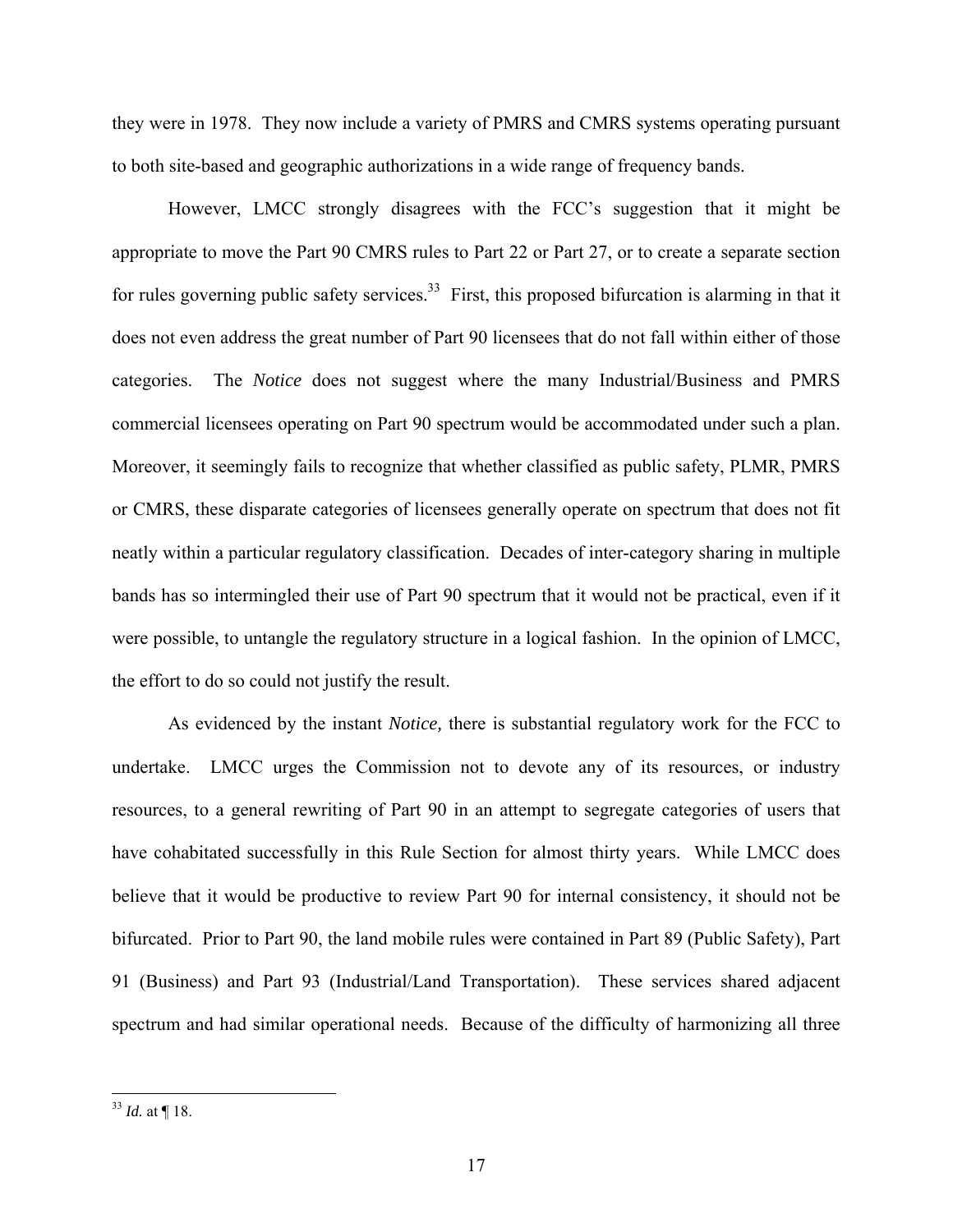they were in 1978. They now include a variety of PMRS and CMRS systems operating pursuant to both site-based and geographic authorizations in a wide range of frequency bands.

However, LMCC strongly disagrees with the FCC's suggestion that it might be appropriate to move the Part 90 CMRS rules to Part 22 or Part 27, or to create a separate section for rules governing public safety services.<sup>33</sup> First, this proposed bifurcation is alarming in that it does not even address the great number of Part 90 licensees that do not fall within either of those categories. The *Notice* does not suggest where the many Industrial/Business and PMRS commercial licensees operating on Part 90 spectrum would be accommodated under such a plan. Moreover, it seemingly fails to recognize that whether classified as public safety, PLMR, PMRS or CMRS, these disparate categories of licensees generally operate on spectrum that does not fit neatly within a particular regulatory classification. Decades of inter-category sharing in multiple bands has so intermingled their use of Part 90 spectrum that it would not be practical, even if it were possible, to untangle the regulatory structure in a logical fashion. In the opinion of LMCC, the effort to do so could not justify the result.

As evidenced by the instant *Notice,* there is substantial regulatory work for the FCC to undertake. LMCC urges the Commission not to devote any of its resources, or industry resources, to a general rewriting of Part 90 in an attempt to segregate categories of users that have cohabitated successfully in this Rule Section for almost thirty years. While LMCC does believe that it would be productive to review Part 90 for internal consistency, it should not be bifurcated. Prior to Part 90, the land mobile rules were contained in Part 89 (Public Safety), Part 91 (Business) and Part 93 (Industrial/Land Transportation). These services shared adjacent spectrum and had similar operational needs. Because of the difficulty of harmonizing all three

<span id="page-20-0"></span> $33$  *Id.* at  $\P$  18.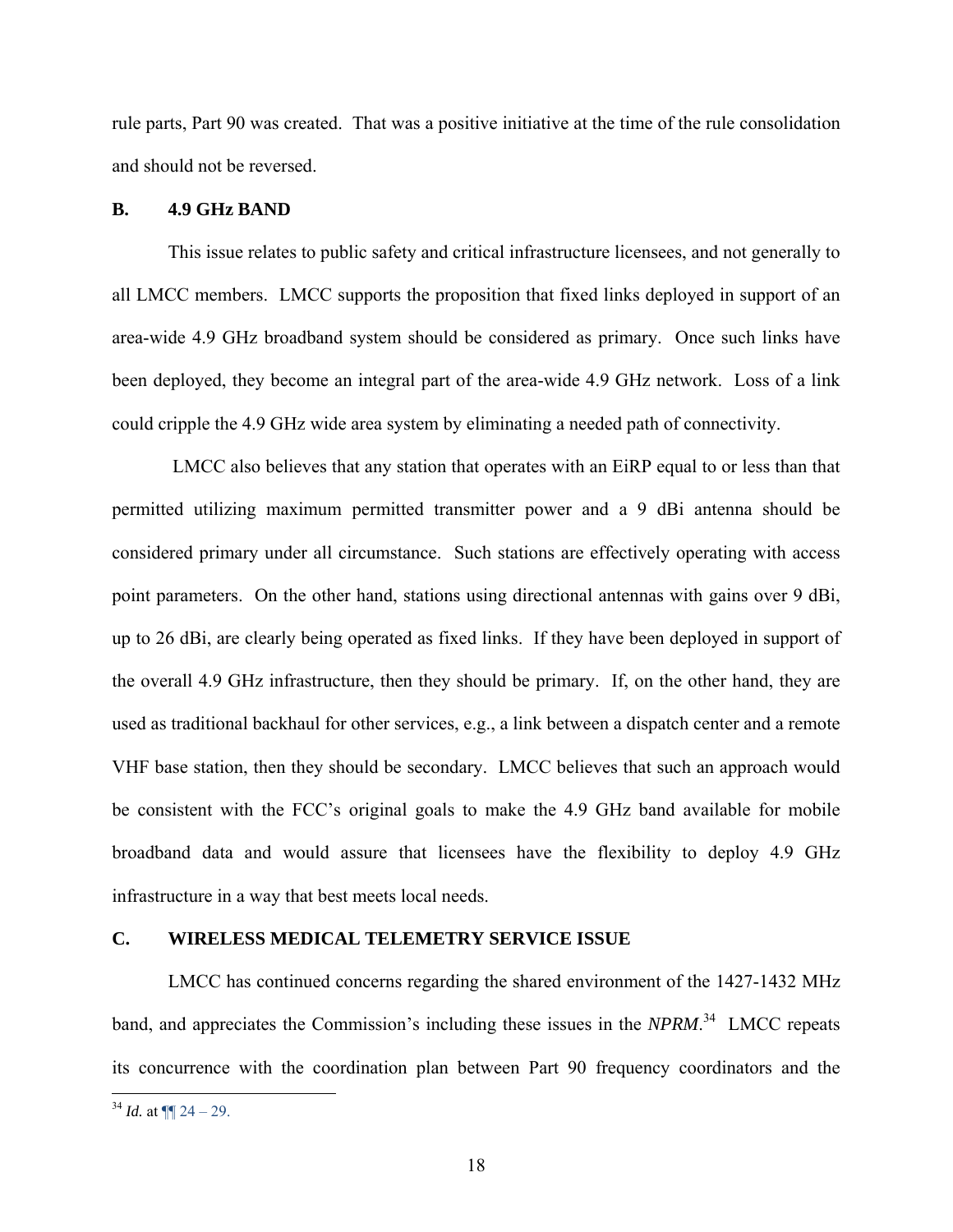<span id="page-21-0"></span>rule parts, Part 90 was created. That was a positive initiative at the time of the rule consolidation and should not be reversed.

### **B. 4.9 GHz BAND**

This issue relates to public safety and critical infrastructure licensees, and not generally to all LMCC members. LMCC supports the proposition that fixed links deployed in support of an area-wide 4.9 GHz broadband system should be considered as primary. Once such links have been deployed, they become an integral part of the area-wide 4.9 GHz network. Loss of a link could cripple the 4.9 GHz wide area system by eliminating a needed path of connectivity.

LMCC also believes that any station that operates with an EiRP equal to or less than that permitted utilizing maximum permitted transmitter power and a 9 dBi antenna should be considered primary under all circumstance. Such stations are effectively operating with access point parameters. On the other hand, stations using directional antennas with gains over 9 dBi, up to 26 dBi, are clearly being operated as fixed links. If they have been deployed in support of the overall 4.9 GHz infrastructure, then they should be primary. If, on the other hand, they are used as traditional backhaul for other services, e.g., a link between a dispatch center and a remote VHF base station, then they should be secondary. LMCC believes that such an approach would be consistent with the FCC's original goals to make the 4.9 GHz band available for mobile broadband data and would assure that licensees have the flexibility to deploy 4.9 GHz infrastructure in a way that best meets local needs.

#### **C. WIRELESS MEDICAL TELEMETRY SERVICE ISSUE**

LMCC has continued concerns regarding the shared environment of the 1427-1432 MHz band, and appreciates the Commission's including these issues in the *NPRM*.<sup>34</sup> LMCC repeats its concurrence with the coordination plan between Part 90 frequency coordinators and the

<span id="page-21-1"></span> $34$  *Id.* at  $\P$  24 – 29.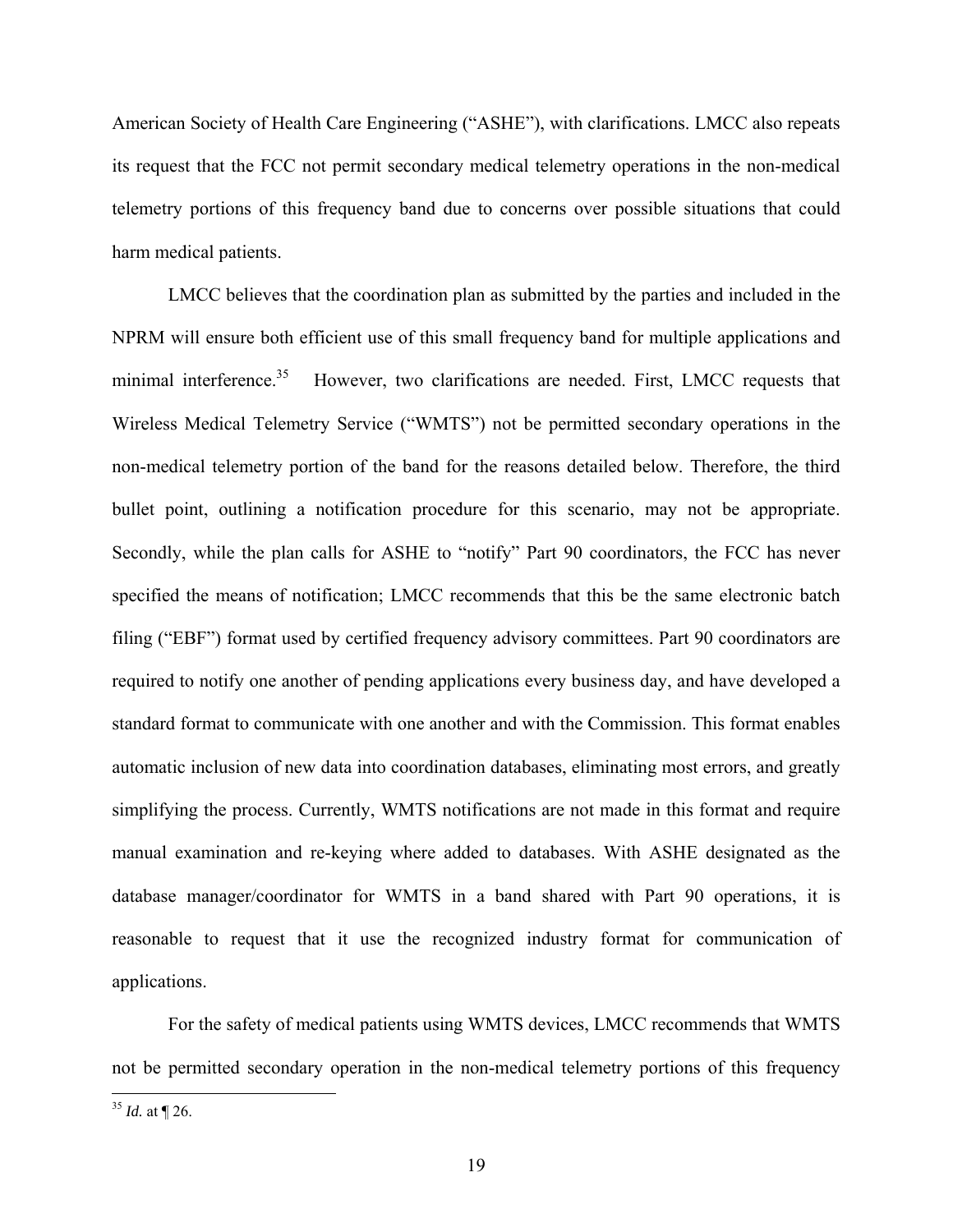American Society of Health Care Engineering ("ASHE"), with clarifications. LMCC also repeats its request that the FCC not permit secondary medical telemetry operations in the non-medical telemetry portions of this frequency band due to concerns over possible situations that could harm medical patients.

LMCC believes that the coordination plan as submitted by the parties and included in the NPRM will ensure both efficient use of this small frequency band for multiple applications and minimal interference.<sup>35</sup> However, two clarifications are needed. First, LMCC requests that Wireless Medical Telemetry Service ("WMTS") not be permitted secondary operations in the non-medical telemetry portion of the band for the reasons detailed below. Therefore, the third bullet point, outlining a notification procedure for this scenario, may not be appropriate. Secondly, while the plan calls for ASHE to "notify" Part 90 coordinators, the FCC has never specified the means of notification; LMCC recommends that this be the same electronic batch filing ("EBF") format used by certified frequency advisory committees. Part 90 coordinators are required to notify one another of pending applications every business day, and have developed a standard format to communicate with one another and with the Commission. This format enables automatic inclusion of new data into coordination databases, eliminating most errors, and greatly simplifying the process. Currently, WMTS notifications are not made in this format and require manual examination and re-keying where added to databases. With ASHE designated as the database manager/coordinator for WMTS in a band shared with Part 90 operations, it is reasonable to request that it use the recognized industry format for communication of applications.

For the safety of medical patients using WMTS devices, LMCC recommends that WMTS not be permitted secondary operation in the non-medical telemetry portions of this frequency

<span id="page-22-0"></span> $35$  *Id.* at  $\P$  26.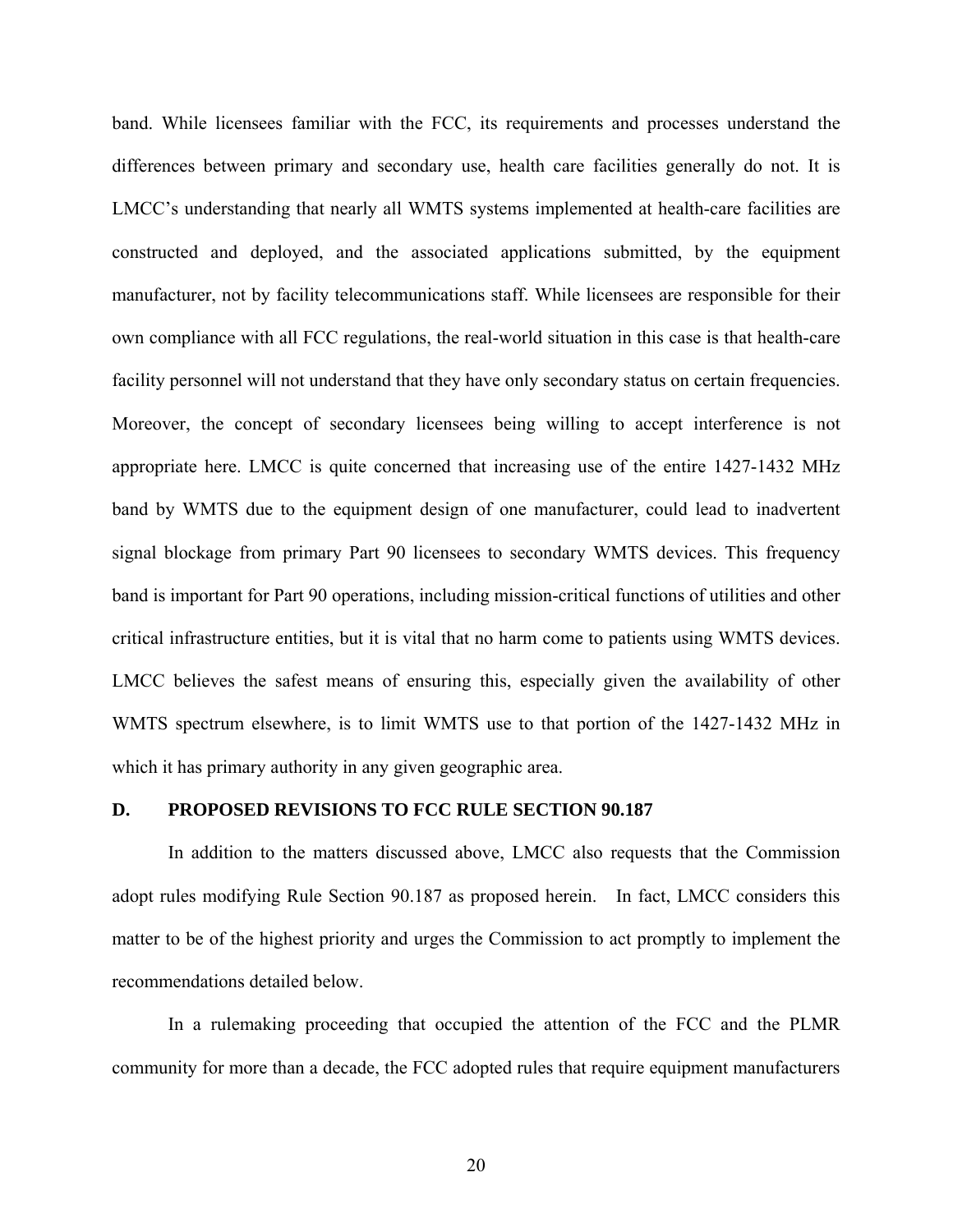<span id="page-23-0"></span>band. While licensees familiar with the FCC, its requirements and processes understand the differences between primary and secondary use, health care facilities generally do not. It is LMCC's understanding that nearly all WMTS systems implemented at health-care facilities are constructed and deployed, and the associated applications submitted, by the equipment manufacturer, not by facility telecommunications staff. While licensees are responsible for their own compliance with all FCC regulations, the real-world situation in this case is that health-care facility personnel will not understand that they have only secondary status on certain frequencies. Moreover, the concept of secondary licensees being willing to accept interference is not appropriate here. LMCC is quite concerned that increasing use of the entire 1427-1432 MHz band by WMTS due to the equipment design of one manufacturer, could lead to inadvertent signal blockage from primary Part 90 licensees to secondary WMTS devices. This frequency band is important for Part 90 operations, including mission-critical functions of utilities and other critical infrastructure entities, but it is vital that no harm come to patients using WMTS devices. LMCC believes the safest means of ensuring this, especially given the availability of other WMTS spectrum elsewhere, is to limit WMTS use to that portion of the 1427-1432 MHz in which it has primary authority in any given geographic area.

#### **D. PROPOSED REVISIONS TO FCC RULE SECTION 90.187**

In addition to the matters discussed above, LMCC also requests that the Commission adopt rules modifying Rule Section 90.187 as proposed herein. In fact, LMCC considers this matter to be of the highest priority and urges the Commission to act promptly to implement the recommendations detailed below.

In a rulemaking proceeding that occupied the attention of the FCC and the PLMR community for more than a decade, the FCC adopted rules that require equipment manufacturers

20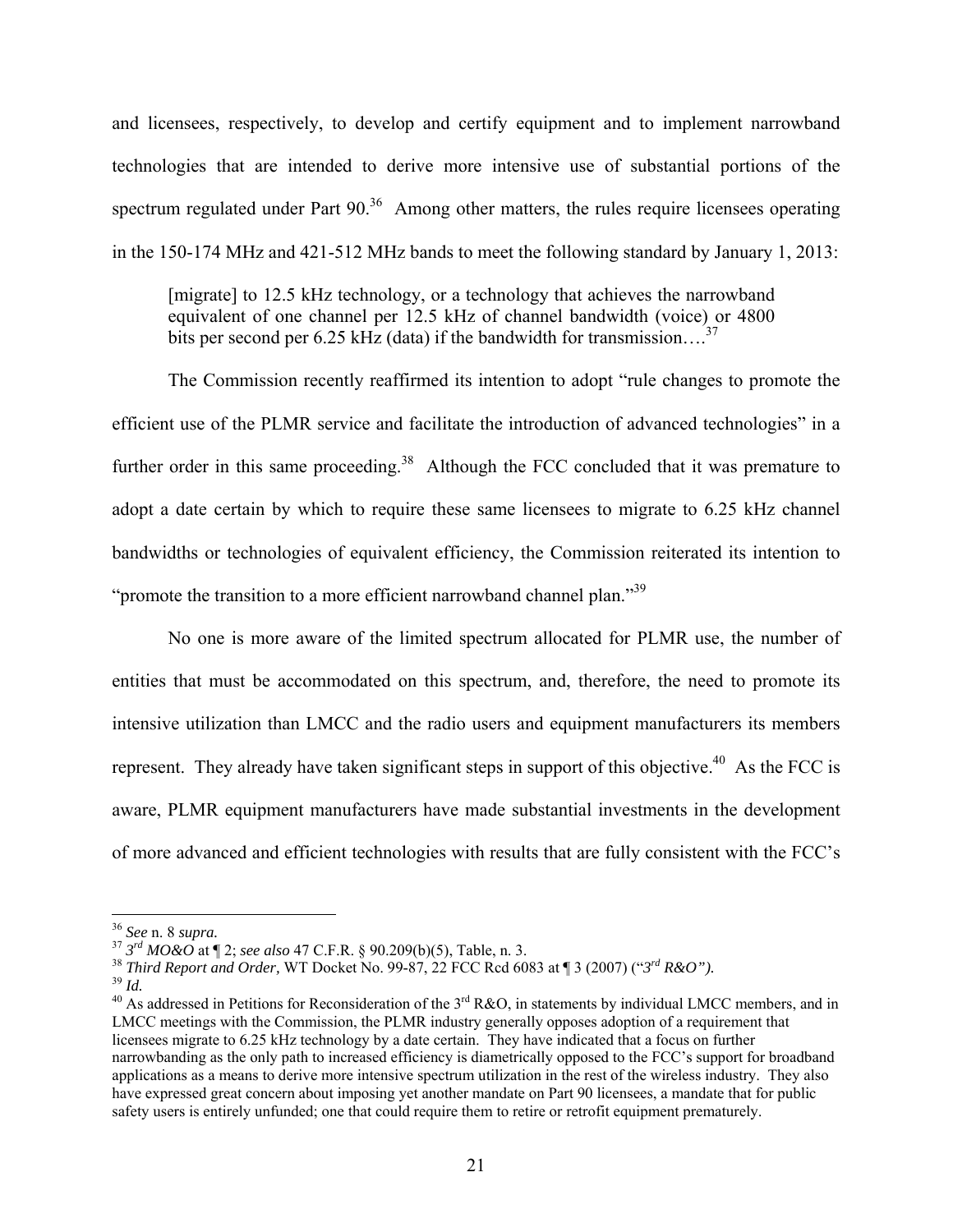and licensees, respectively, to develop and certify equipment and to implement narrowband technologies that are intended to derive more intensive use of substantial portions of the spectrum regulated under Part  $90<sup>36</sup>$  Among other matters, the rules require licensees operating in the 150-174 MHz and 421-512 MHz bands to meet the following standard by January 1, 2013:

[migrate] to 12.5 kHz technology, or a technology that achieves the narrowband equivalent of one channel per 12.5 kHz of channel bandwidth (voice) or 4800 bits per second per 6.25 kHz (data) if the bandwidth for transmission....<sup>[37](#page-24-1)</sup>

The Commission recently reaffirmed its intention to adopt "rule changes to promote the efficient use of the PLMR service and facilitate the introduction of advanced technologies" in a further order in this same proceeding.<sup>38</sup> Although the FCC concluded that it was premature to adopt a date certain by which to require these same licensees to migrate to 6.25 kHz channel bandwidths or technologies of equivalent efficiency, the Commission reiterated its intention to "promote the transition to a more efficient narrowband channel plan."<sup>39</sup>

No one is more aware of the limited spectrum allocated for PLMR use, the number of entities that must be accommodated on this spectrum, and, therefore, the need to promote its intensive utilization than LMCC and the radio users and equipment manufacturers its members represent. They already have taken significant steps in support of this objective.<sup>40</sup> As the FCC is aware, PLMR equipment manufacturers have made substantial investments in the development of more advanced and efficient technologies with results that are fully consistent with the FCC's

1

<span id="page-24-0"></span>

<span id="page-24-1"></span>

<span id="page-24-2"></span>

<span id="page-24-4"></span><span id="page-24-3"></span>

<sup>&</sup>lt;sup>36</sup> See n. 8 supra.<br><sup>37</sup>  $3^{rd}$  MO&O at ¶ 2; see also 47 C.F.R. § 90.209(b)(5), Table, n. 3.<br><sup>38</sup> *Third Report and Order*, WT Docket No. 99-87, 22 FCC Rcd 6083 at ¶ 3 (2007) (" $3^{rd}$  R&O").<br><sup>39</sup> *Id.*<br><sup>40</sup> As addressed LMCC meetings with the Commission, the PLMR industry generally opposes adoption of a requirement that licensees migrate to 6.25 kHz technology by a date certain. They have indicated that a focus on further narrowbanding as the only path to increased efficiency is diametrically opposed to the FCC's support for broadband applications as a means to derive more intensive spectrum utilization in the rest of the wireless industry. They also have expressed great concern about imposing yet another mandate on Part 90 licensees, a mandate that for public safety users is entirely unfunded; one that could require them to retire or retrofit equipment prematurely.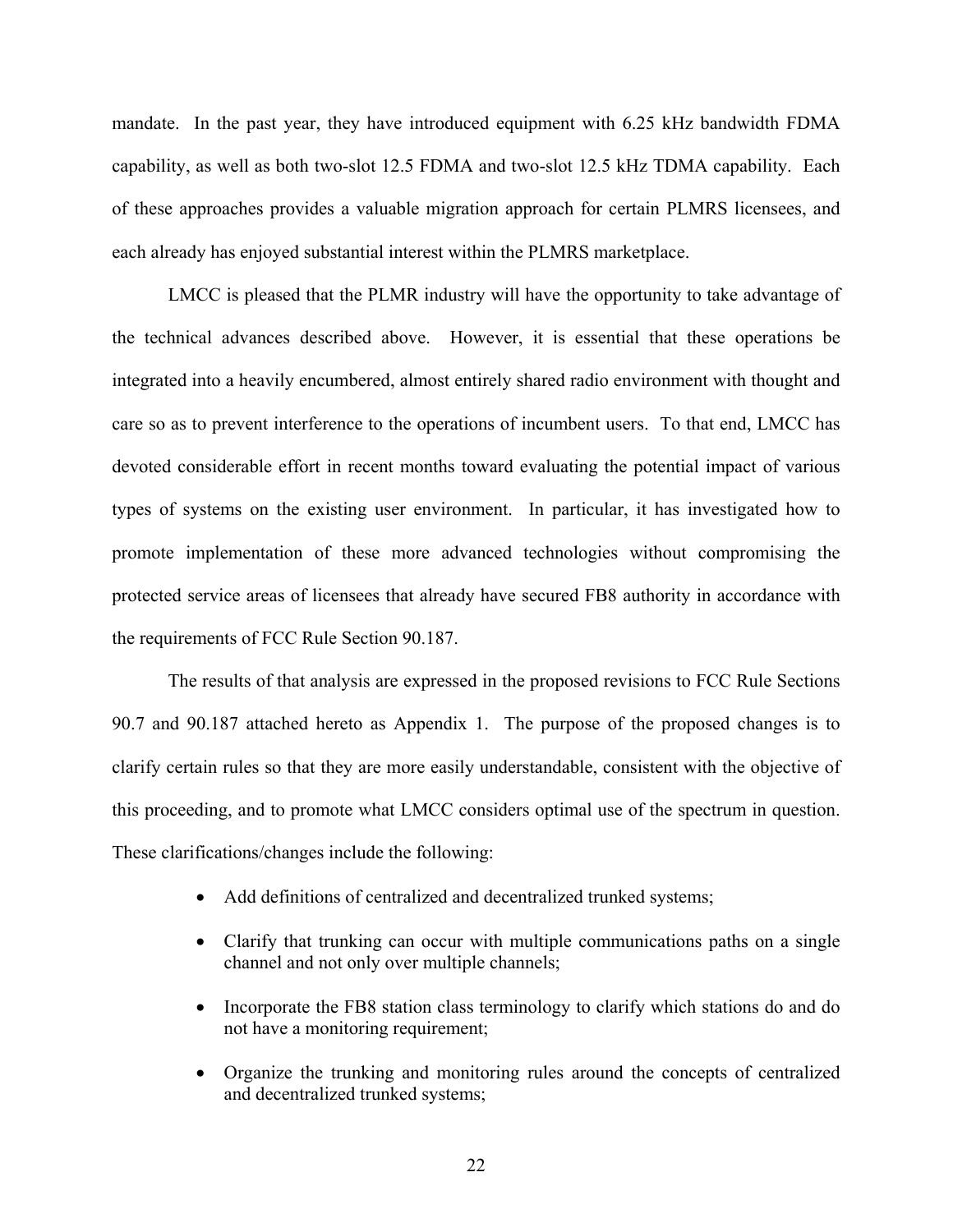mandate. In the past year, they have introduced equipment with 6.25 kHz bandwidth FDMA capability, as well as both two-slot 12.5 FDMA and two-slot 12.5 kHz TDMA capability. Each of these approaches provides a valuable migration approach for certain PLMRS licensees, and each already has enjoyed substantial interest within the PLMRS marketplace.

LMCC is pleased that the PLMR industry will have the opportunity to take advantage of the technical advances described above. However, it is essential that these operations be integrated into a heavily encumbered, almost entirely shared radio environment with thought and care so as to prevent interference to the operations of incumbent users. To that end, LMCC has devoted considerable effort in recent months toward evaluating the potential impact of various types of systems on the existing user environment. In particular, it has investigated how to promote implementation of these more advanced technologies without compromising the protected service areas of licensees that already have secured FB8 authority in accordance with the requirements of FCC Rule Section 90.187.

The results of that analysis are expressed in the proposed revisions to FCC Rule Sections 90.7 and 90.187 attached hereto as Appendix 1. The purpose of the proposed changes is to clarify certain rules so that they are more easily understandable, consistent with the objective of this proceeding, and to promote what LMCC considers optimal use of the spectrum in question. These clarifications/changes include the following:

- Add definitions of centralized and decentralized trunked systems;
- Clarify that trunking can occur with multiple communications paths on a single channel and not only over multiple channels;
- Incorporate the FB8 station class terminology to clarify which stations do and do not have a monitoring requirement;
- Organize the trunking and monitoring rules around the concepts of centralized and decentralized trunked systems;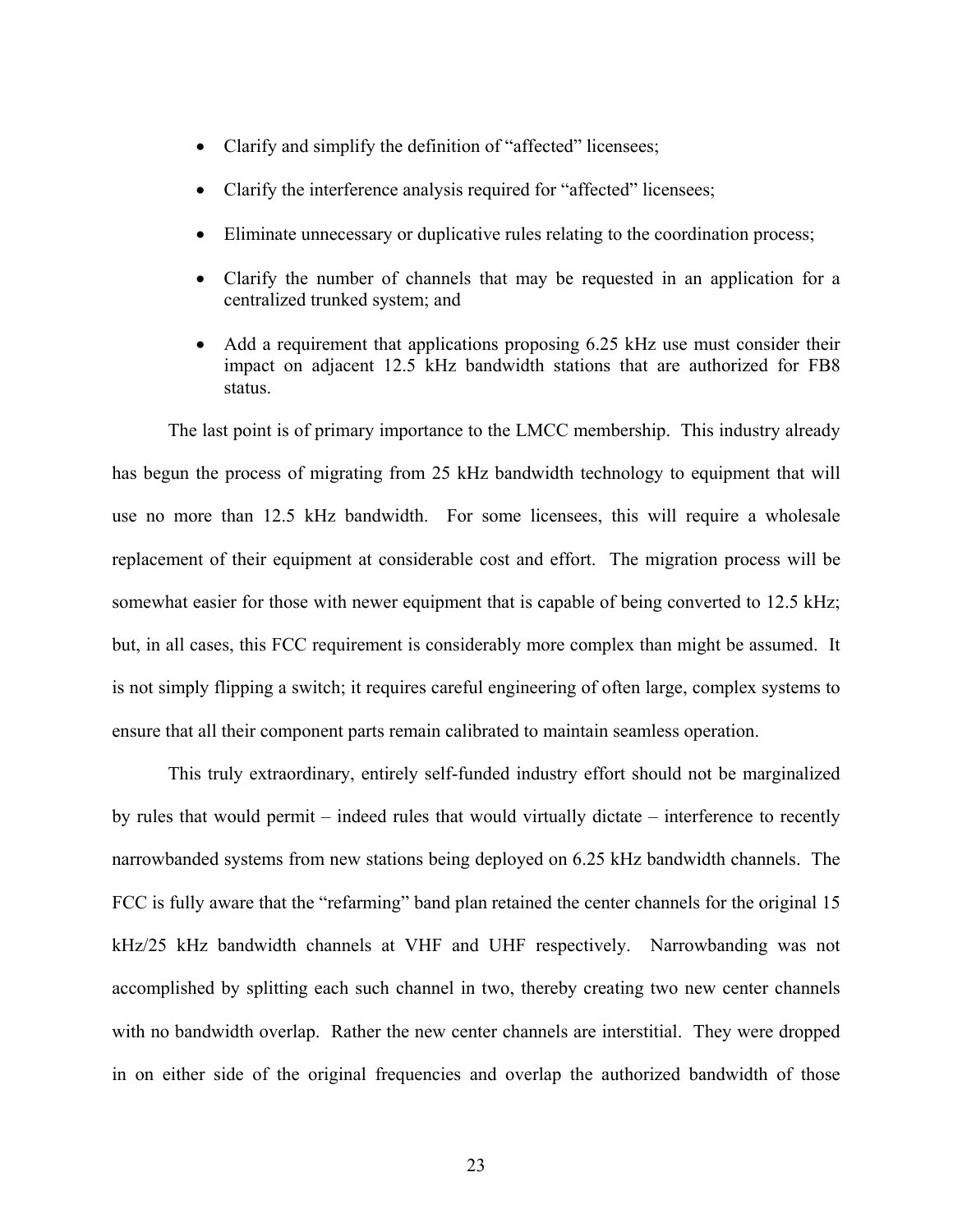- Clarify and simplify the definition of "affected" licensees;
- Clarify the interference analysis required for "affected" licensees;
- Eliminate unnecessary or duplicative rules relating to the coordination process;
- Clarify the number of channels that may be requested in an application for a centralized trunked system; and
- Add a requirement that applications proposing 6.25 kHz use must consider their impact on adjacent 12.5 kHz bandwidth stations that are authorized for FB8 status.

The last point is of primary importance to the LMCC membership. This industry already has begun the process of migrating from 25 kHz bandwidth technology to equipment that will use no more than 12.5 kHz bandwidth. For some licensees, this will require a wholesale replacement of their equipment at considerable cost and effort. The migration process will be somewhat easier for those with newer equipment that is capable of being converted to 12.5 kHz; but, in all cases, this FCC requirement is considerably more complex than might be assumed. It is not simply flipping a switch; it requires careful engineering of often large, complex systems to ensure that all their component parts remain calibrated to maintain seamless operation.

This truly extraordinary, entirely self-funded industry effort should not be marginalized by rules that would permit – indeed rules that would virtually dictate – interference to recently narrowbanded systems from new stations being deployed on 6.25 kHz bandwidth channels. The FCC is fully aware that the "refarming" band plan retained the center channels for the original 15 kHz/25 kHz bandwidth channels at VHF and UHF respectively. Narrowbanding was not accomplished by splitting each such channel in two, thereby creating two new center channels with no bandwidth overlap. Rather the new center channels are interstitial. They were dropped in on either side of the original frequencies and overlap the authorized bandwidth of those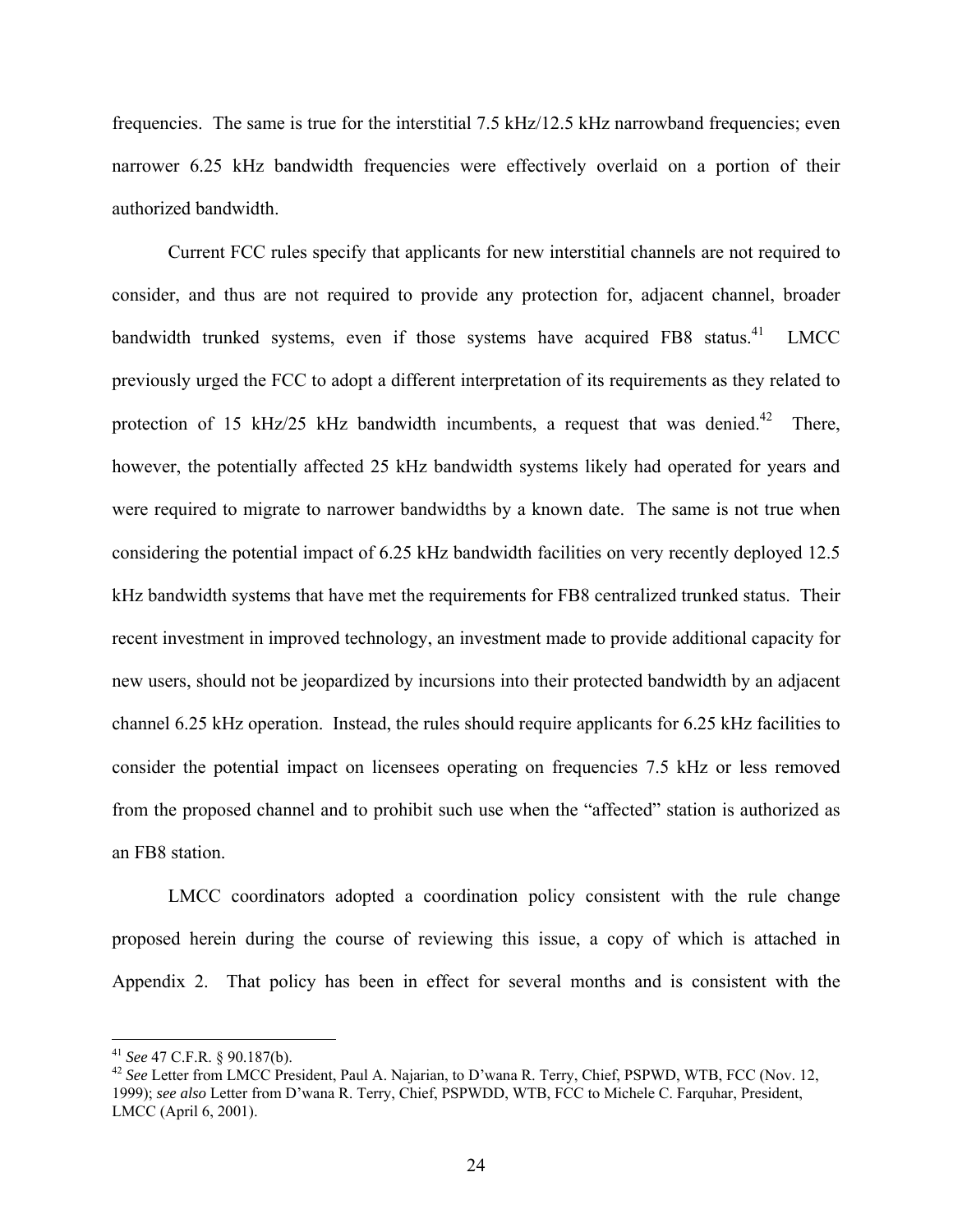frequencies. The same is true for the interstitial 7.5 kHz/12.5 kHz narrowband frequencies; even narrower 6.25 kHz bandwidth frequencies were effectively overlaid on a portion of their authorized bandwidth.

Current FCC rules specify that applicants for new interstitial channels are not required to consider, and thus are not required to provide any protection for, adjacent channel, broader bandwidth trunked systems, even if those systems have acquired FB8 status.<sup>41</sup> LMCC previously urged the FCC to adopt a different interpretation of its requirements as they related to protection of 15 kHz/25 kHz bandwidth incumbents, a request that was denied.<sup>42</sup> There, however, the potentially affected 25 kHz bandwidth systems likely had operated for years and were required to migrate to narrower bandwidths by a known date. The same is not true when considering the potential impact of 6.25 kHz bandwidth facilities on very recently deployed 12.5 kHz bandwidth systems that have met the requirements for FB8 centralized trunked status. Their recent investment in improved technology, an investment made to provide additional capacity for new users, should not be jeopardized by incursions into their protected bandwidth by an adjacent channel 6.25 kHz operation. Instead, the rules should require applicants for 6.25 kHz facilities to consider the potential impact on licensees operating on frequencies 7.5 kHz or less removed from the proposed channel and to prohibit such use when the "affected" station is authorized as an FB8 station.

LMCC coordinators adopted a coordination policy consistent with the rule change proposed herein during the course of reviewing this issue, a copy of which is attached in Appendix 2. That policy has been in effect for several months and is consistent with the

<span id="page-27-1"></span><span id="page-27-0"></span>

<sup>&</sup>lt;sup>41</sup> *See* 47 C.F.R. § 90.187(b).<br><sup>42</sup> *See* Letter from LMCC President, Paul A. Najarian, to D'wana R. Terry, Chief, PSPWD, WTB, FCC (Nov. 12, 1999); *see also* Letter from D'wana R. Terry, Chief, PSPWDD, WTB, FCC to Michele C. Farquhar, President, LMCC (April 6, 2001).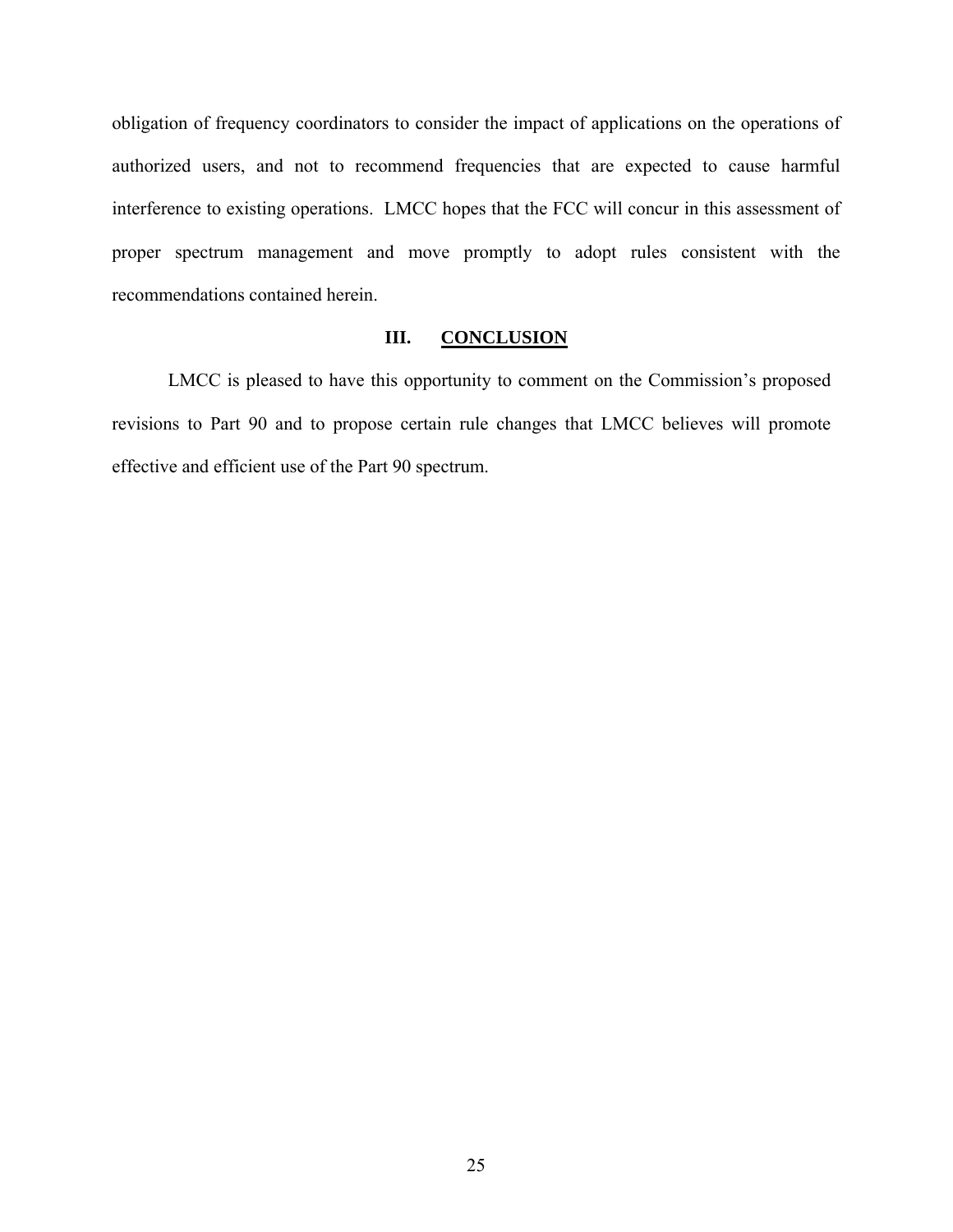<span id="page-28-0"></span>obligation of frequency coordinators to consider the impact of applications on the operations of authorized users, and not to recommend frequencies that are expected to cause harmful interference to existing operations. LMCC hopes that the FCC will concur in this assessment of proper spectrum management and move promptly to adopt rules consistent with the recommendations contained herein.

#### **III. CONCLUSION**

LMCC is pleased to have this opportunity to comment on the Commission's proposed revisions to Part 90 and to propose certain rule changes that LMCC believes will promote effective and efficient use of the Part 90 spectrum.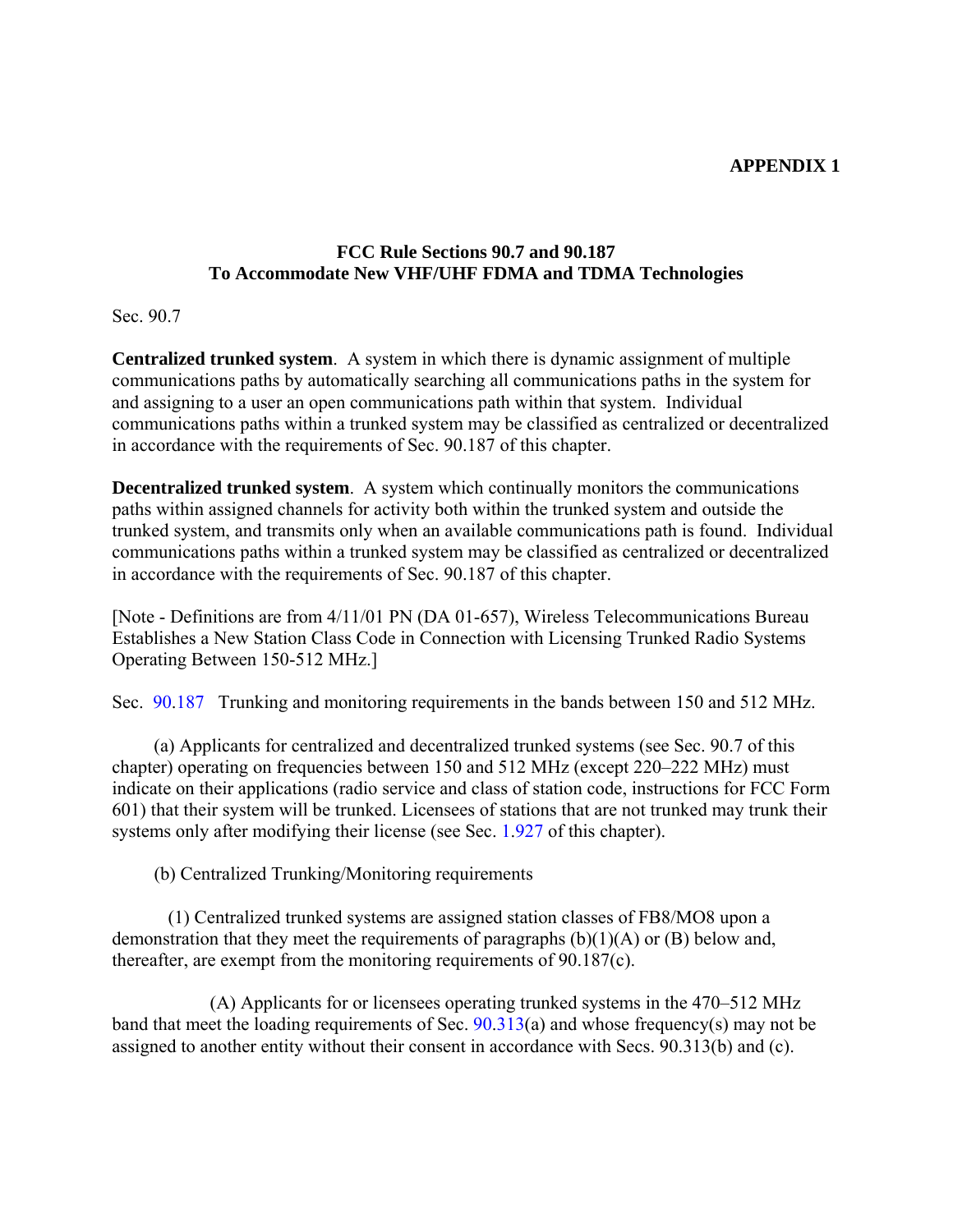## **APPENDIX 1**

## **FCC Rule Sections 90.7 and 90.187 To Accommodate New VHF/UHF FDMA and TDMA Technologies**

Sec. 90.7

**Centralized trunked system**. A system in which there is dynamic assignment of multiple communications paths by automatically searching all communications paths in the system for and assigning to a user an open communications path within that system. Individual communications paths within a trunked system may be classified as centralized or decentralized in accordance with the requirements of Sec. 90.187 of this chapter.

**Decentralized trunked system**. A system which continually monitors the communications paths within assigned channels for activity both within the trunked system and outside the trunked system, and transmits only when an available communications path is found. Individual communications paths within a trunked system may be classified as centralized or decentralized in accordance with the requirements of Sec. 90.187 of this chapter.

[Note - Definitions are from 4/11/01 PN (DA 01-657), Wireless Telecommunications Bureau Establishes a New Station Class Code in Connection with Licensing Trunked Radio Systems Operating Between 150-512 MHz.]

Sec. [90](http://frwebgate.access.gpo.gov/cgi-bin/get-cfr.cgi?TITLE=47&TYPE=PDF&YEAR=2005&PART=90&SECTION=187)[.187](http://www.hallikainen.com/FccRules/2006/90/187) Trunking and monitoring requirements in the bands between 150 and 512 MHz.

(a) Applicants for centralized and decentralized trunked systems (see Sec. 90.7 of this chapter) operating on frequencies between 150 and 512 MHz (except 220–222 MHz) must indicate on their applications (radio service and class of station code, instructions for FCC Form 601) that their system will be trunked. Licensees of stations that are not trunked may trunk their systems only after modifying their license (see Sec. [1](http://frwebgate.access.gpo.gov/cgi-bin/get-cfr.cgi?TITLE=47&TYPE=PDF&YEAR=2005&PART=1&SECTION=927)[.927](http://www.hallikainen.com/FccRules/2006/1/927) of this chapter).

(b) Centralized Trunking/Monitoring requirements

 (1) Centralized trunked systems are assigned station classes of FB8/MO8 upon a demonstration that they meet the requirements of paragraphs  $(b)(1)(A)$  or  $(B)$  below and, thereafter, are exempt from the monitoring requirements of 90.187(c).

 (A) Applicants for or licensees operating trunked systems in the 470–512 MHz band that meet the loading requirements of Sec. [90](http://frwebgate.access.gpo.gov/cgi-bin/get-cfr.cgi?TITLE=47&TYPE=PDF&YEAR=2005&PART=90&SECTION=313)[.313](http://www.hallikainen.com/FccRules/2006/90/313)(a) and whose frequency(s) may not be assigned to another entity without their consent in accordance with Secs. 90.313(b) and (c).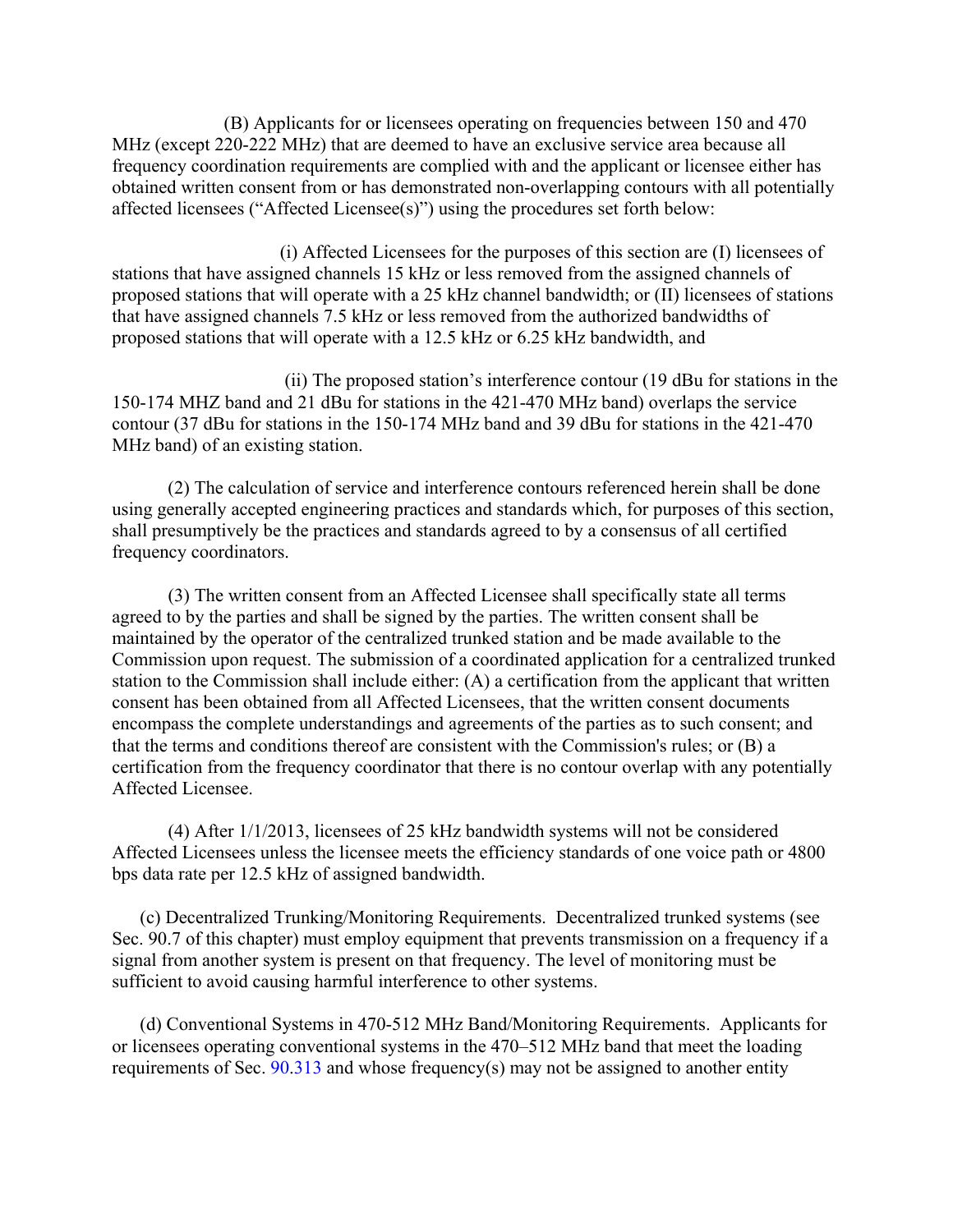(B) Applicants for or licensees operating on frequencies between 150 and 470 MHz (except 220-222 MHz) that are deemed to have an exclusive service area because all frequency coordination requirements are complied with and the applicant or licensee either has obtained written consent from or has demonstrated non-overlapping contours with all potentially affected licensees ("Affected Licensee(s)") using the procedures set forth below:

 (i) Affected Licensees for the purposes of this section are (I) licensees of stations that have assigned channels 15 kHz or less removed from the assigned channels of proposed stations that will operate with a 25 kHz channel bandwidth; or (II) licensees of stations that have assigned channels 7.5 kHz or less removed from the authorized bandwidths of proposed stations that will operate with a 12.5 kHz or 6.25 kHz bandwidth, and

 (ii) The proposed station's interference contour (19 dBu for stations in the 150-174 MHZ band and 21 dBu for stations in the 421-470 MHz band) overlaps the service contour (37 dBu for stations in the 150-174 MHz band and 39 dBu for stations in the 421-470 MHz band) of an existing station.

 (2) The calculation of service and interference contours referenced herein shall be done using generally accepted engineering practices and standards which, for purposes of this section, shall presumptively be the practices and standards agreed to by a consensus of all certified frequency coordinators.

(3) The written consent from an Affected Licensee shall specifically state all terms agreed to by the parties and shall be signed by the parties. The written consent shall be maintained by the operator of the centralized trunked station and be made available to the Commission upon request. The submission of a coordinated application for a centralized trunked station to the Commission shall include either: (A) a certification from the applicant that written consent has been obtained from all Affected Licensees, that the written consent documents encompass the complete understandings and agreements of the parties as to such consent; and that the terms and conditions thereof are consistent with the Commission's rules; or (B) a certification from the frequency coordinator that there is no contour overlap with any potentially Affected Licensee.

(4) After 1/1/2013, licensees of 25 kHz bandwidth systems will not be considered Affected Licensees unless the licensee meets the efficiency standards of one voice path or 4800 bps data rate per 12.5 kHz of assigned bandwidth.

(c) Decentralized Trunking/Monitoring Requirements. Decentralized trunked systems (see Sec. 90.7 of this chapter) must employ equipment that prevents transmission on a frequency if a signal from another system is present on that frequency. The level of monitoring must be sufficient to avoid causing harmful interference to other systems.

(d) Conventional Systems in 470-512 MHz Band/Monitoring Requirements. Applicants for or licensees operating conventional systems in the 470–512 MHz band that meet the loading requirements of Sec.  $90.313$  $90.313$  and whose frequency(s) may not be assigned to another entity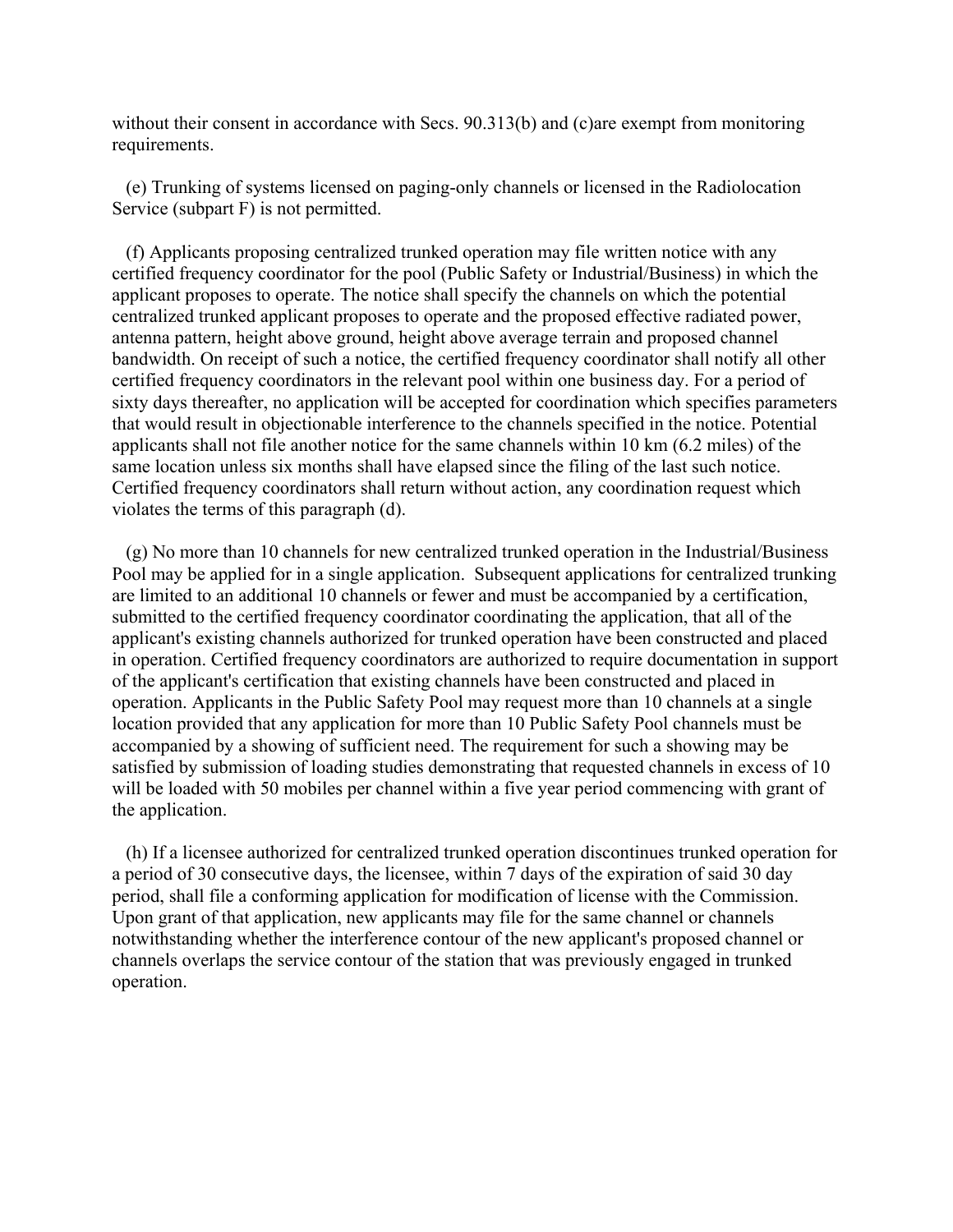without their consent in accordance with Secs. 90.313(b) and (c)are exempt from monitoring requirements.

 (e) Trunking of systems licensed on paging-only channels or licensed in the Radiolocation Service (subpart F) is not permitted.

 (f) Applicants proposing centralized trunked operation may file written notice with any certified frequency coordinator for the pool (Public Safety or Industrial/Business) in which the applicant proposes to operate. The notice shall specify the channels on which the potential centralized trunked applicant proposes to operate and the proposed effective radiated power, antenna pattern, height above ground, height above average terrain and proposed channel bandwidth. On receipt of such a notice, the certified frequency coordinator shall notify all other certified frequency coordinators in the relevant pool within one business day. For a period of sixty days thereafter, no application will be accepted for coordination which specifies parameters that would result in objectionable interference to the channels specified in the notice. Potential applicants shall not file another notice for the same channels within 10 km (6.2 miles) of the same location unless six months shall have elapsed since the filing of the last such notice. Certified frequency coordinators shall return without action, any coordination request which violates the terms of this paragraph (d).

 (g) No more than 10 channels for new centralized trunked operation in the Industrial/Business Pool may be applied for in a single application. Subsequent applications for centralized trunking are limited to an additional 10 channels or fewer and must be accompanied by a certification, submitted to the certified frequency coordinator coordinating the application, that all of the applicant's existing channels authorized for trunked operation have been constructed and placed in operation. Certified frequency coordinators are authorized to require documentation in support of the applicant's certification that existing channels have been constructed and placed in operation. Applicants in the Public Safety Pool may request more than 10 channels at a single location provided that any application for more than 10 Public Safety Pool channels must be accompanied by a showing of sufficient need. The requirement for such a showing may be satisfied by submission of loading studies demonstrating that requested channels in excess of 10 will be loaded with 50 mobiles per channel within a five year period commencing with grant of the application.

 (h) If a licensee authorized for centralized trunked operation discontinues trunked operation for a period of 30 consecutive days, the licensee, within 7 days of the expiration of said 30 day period, shall file a conforming application for modification of license with the Commission. Upon grant of that application, new applicants may file for the same channel or channels notwithstanding whether the interference contour of the new applicant's proposed channel or channels overlaps the service contour of the station that was previously engaged in trunked operation.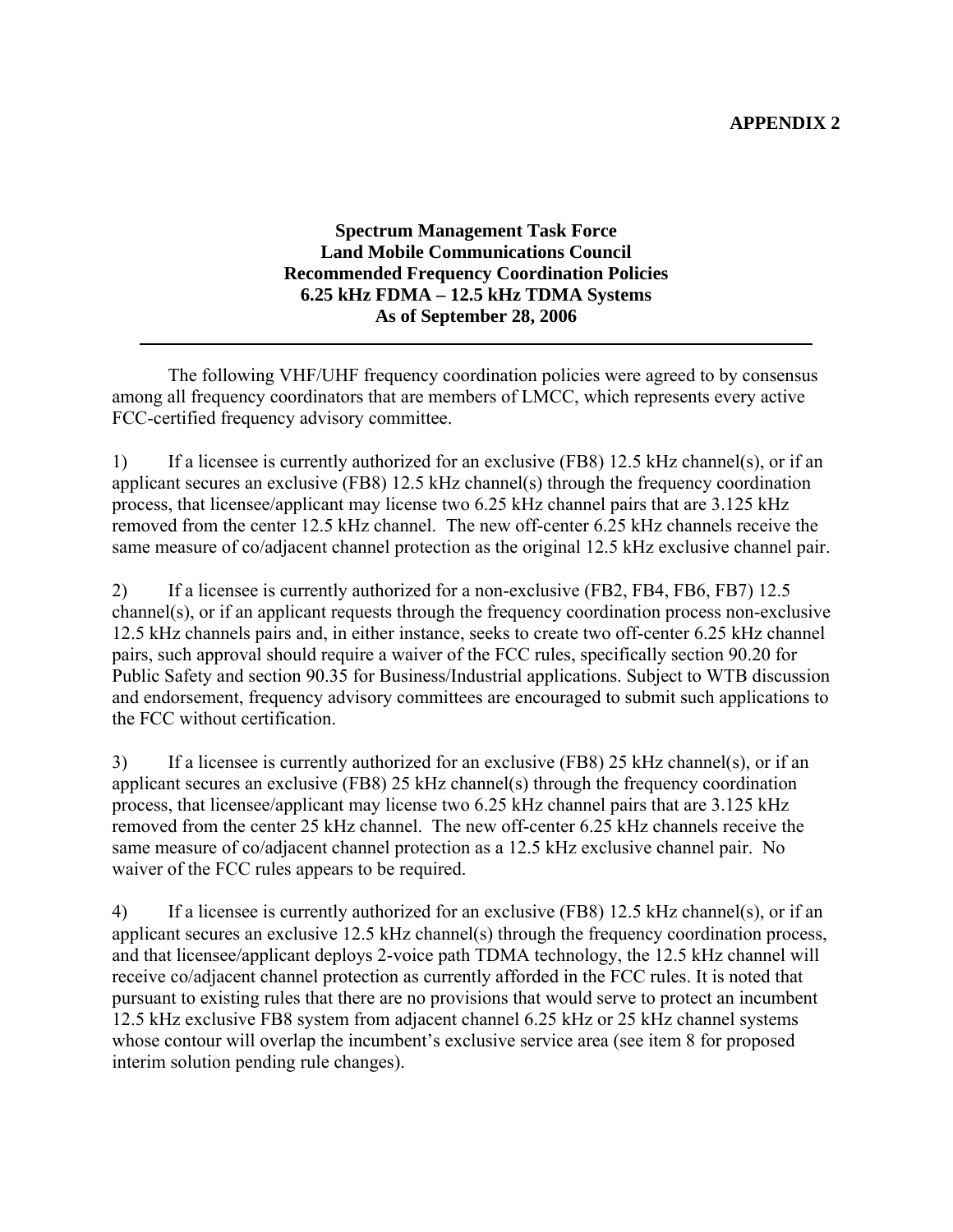**Spectrum Management Task Force Land Mobile Communications Council Recommended Frequency Coordination Policies 6.25 kHz FDMA – 12.5 kHz TDMA Systems As of September 28, 2006** 

The following VHF/UHF frequency coordination policies were agreed to by consensus among all frequency coordinators that are members of LMCC, which represents every active FCC-certified frequency advisory committee.

l

1) If a licensee is currently authorized for an exclusive (FB8) 12.5 kHz channel(s), or if an applicant secures an exclusive (FB8) 12.5 kHz channel(s) through the frequency coordination process, that licensee/applicant may license two 6.25 kHz channel pairs that are 3.125 kHz removed from the center 12.5 kHz channel. The new off-center 6.25 kHz channels receive the same measure of co/adjacent channel protection as the original 12.5 kHz exclusive channel pair.

2) If a licensee is currently authorized for a non-exclusive (FB2, FB4, FB6, FB7) 12.5 channel(s), or if an applicant requests through the frequency coordination process non-exclusive 12.5 kHz channels pairs and, in either instance, seeks to create two off-center 6.25 kHz channel pairs, such approval should require a waiver of the FCC rules, specifically section 90.20 for Public Safety and section 90.35 for Business/Industrial applications. Subject to WTB discussion and endorsement, frequency advisory committees are encouraged to submit such applications to the FCC without certification.

3) If a licensee is currently authorized for an exclusive (FB8) 25 kHz channel(s), or if an applicant secures an exclusive (FB8) 25 kHz channel(s) through the frequency coordination process, that licensee/applicant may license two 6.25 kHz channel pairs that are 3.125 kHz removed from the center 25 kHz channel. The new off-center 6.25 kHz channels receive the same measure of co/adjacent channel protection as a 12.5 kHz exclusive channel pair. No waiver of the FCC rules appears to be required.

4) If a licensee is currently authorized for an exclusive (FB8) 12.5 kHz channel(s), or if an applicant secures an exclusive 12.5 kHz channel(s) through the frequency coordination process, and that licensee/applicant deploys 2-voice path TDMA technology, the 12.5 kHz channel will receive co/adjacent channel protection as currently afforded in the FCC rules. It is noted that pursuant to existing rules that there are no provisions that would serve to protect an incumbent 12.5 kHz exclusive FB8 system from adjacent channel 6.25 kHz or 25 kHz channel systems whose contour will overlap the incumbent's exclusive service area (see item 8 for proposed interim solution pending rule changes).